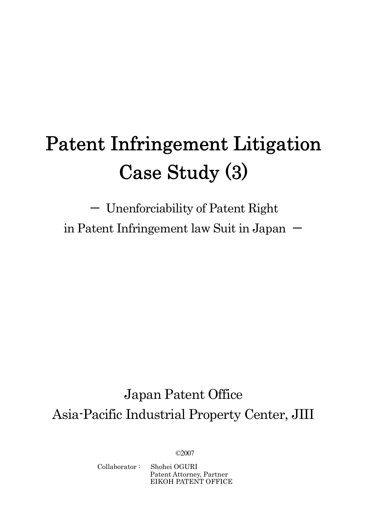# Patent Infringement Litigation Case Study (3)

- Unenforciability of Patent Right in Patent Infringement law Suit in Japan  $-$ 

## Japan Patent Office Asia-Pacific Industrial Property Center, JIII

©2007

Collaborator : Shohei OGURI

Patent Attorney, Partner EIKOH PATENT OFFICE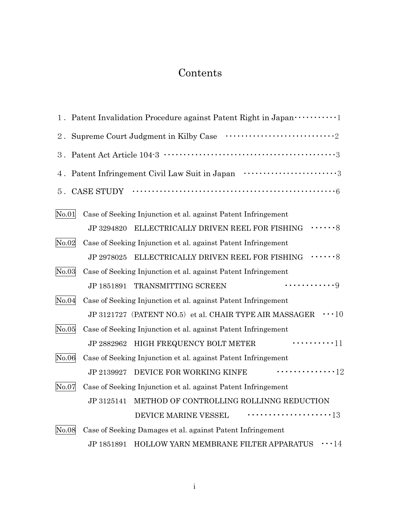## Contents

|       | 1. Patent Invalidation Procedure against Patent Right in Japan ···············                      |
|-------|-----------------------------------------------------------------------------------------------------|
| $2$ . |                                                                                                     |
| 3.    |                                                                                                     |
| 4.    | Patent Infringement Civil Law Suit in Japan $\cdots$ $\cdots$ $\cdots$ $\cdots$ $\cdots$            |
| 5.    |                                                                                                     |
| No.01 | Case of Seeking Injunction et al. against Patent Infringement                                       |
|       | ELLECTRICALLY DRIVEN REEL FOR FISHING $\cdots \cdots 8$<br>JP 3294820                               |
| No.02 | Case of Seeking Injunction et al. against Patent Infringement                                       |
|       | ELLECTRICALLY DRIVEN REEL FOR FISHING $\hspace{0.1cm} \cdots \cdots \hspace{0.1cm} 8$<br>JP 2978025 |
| No.03 | Case of Seeking Injunction et al. against Patent Infringement                                       |
|       | . 9<br>TRANSMITTING SCREEN<br>JP 1851891                                                            |
| No.04 | Case of Seeking Injunction et al. against Patent Infringement                                       |
|       | JP 3121727 (PATENT NO.5) et al. CHAIR TYPE AIR MASSAGER $\cdots$ 10                                 |
| No.05 | Case of Seeking Injunction et al. against Patent Infringement                                       |
|       | $\cdots \cdots \cdots 11$<br>JP 2882962 HIGH FREQUENCY BOLT METER                                   |
| No.06 | Case of Seeking Injunction et al. against Patent Infringement                                       |
|       | $\cdots \cdots \cdots \cdots 12$<br>JP 2139927 DEVICE FOR WORKING KINFE                             |
| No.07 | Case of Seeking Injunction et al. against Patent Infringement                                       |
|       | METHOD OF CONTROLLING ROLLINNG REDUCTION<br>JP 3125141                                              |
|       | <sub>13</sub><br>DEVICE MARINE VESSEL                                                               |
| No.08 | Case of Seeking Damages et al. against Patent Infringement                                          |
|       | HOLLOW YARN MEMBRANE FILTER APPARATUS<br>$\cdots$ 14<br>JP 1851891                                  |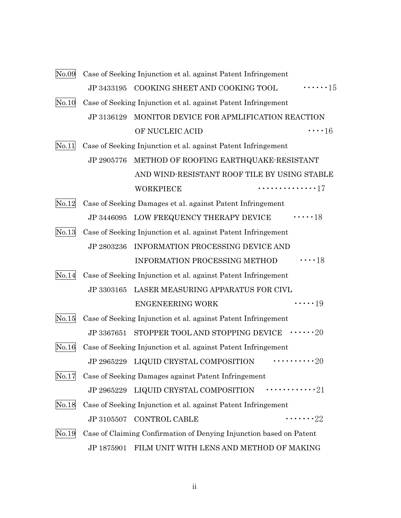| No.09       |            | Case of Seeking Injunction et al. against Patent Infringement       |                    |
|-------------|------------|---------------------------------------------------------------------|--------------------|
|             | JP 3433195 | COOKING SHEET AND COOKING TOOL                                      | $\cdots \cdots 15$ |
| No.10       |            | Case of Seeking Injunction et al. against Patent Infringement       |                    |
|             | JP 3136129 | MONITOR DEVICE FOR APMLIFICATION REACTION                           |                    |
|             |            | OF NUCLEIC ACID                                                     | $\cdots$ 16        |
| No.11       |            | Case of Seeking Injunction et al. against Patent Infringement       |                    |
|             | JP 2905776 | METHOD OF ROOFING EARTHQUAKE-RESISTANT                              |                    |
|             |            | AND WIND-RESISTANT ROOF TILE BY USING STABLE                        |                    |
|             |            | WORKPIECE                                                           | . 17               |
| No.12       |            | Case of Seeking Damages et al. against Patent Infringement          |                    |
|             |            | JP 3446095 LOW FREQUENCY THERAPY DEVICE $\cdots$ 18                 |                    |
| No.13       |            | Case of Seeking Injunction et al. against Patent Infringement       |                    |
|             | JP 2803236 | INFORMATION PROCESSING DEVICE AND                                   |                    |
|             |            | <b>INFORMATION PROCESSING METHOD</b>                                | $\cdots$ 18        |
| No.14       |            | Case of Seeking Injunction et al. against Patent Infringement       |                    |
|             | JP 3303165 | LASER MEASURING APPARATUS FOR CIVL                                  |                    |
|             |            | <b>ENGENEERING WORK</b>                                             | $\cdots$ 19        |
| No.15       |            | Case of Seeking Injunction et al. against Patent Infringement       |                    |
|             |            | JP 3367651 STOPPER TOOL AND STOPPING DEVICE $\cdots$ 20             |                    |
| $\rm No.16$ |            | Case of Seeking Injunction et al. against Patent Infringement       |                    |
|             |            | JP 2965229 LIQUID CRYSTAL COMPOSITION                               |                    |
| No.17       |            | Case of Seeking Damages against Patent Infringement                 |                    |
|             |            | JP 2965229 LIQUID CRYSTAL COMPOSITION $\cdots$                      |                    |
| No.18       |            | Case of Seeking Injunction et al. against Patent Infringement       |                    |
|             | JP 3105507 | <b>CONTROL CABLE</b>                                                | $\cdots \cdots 22$ |
| $\rm No.19$ |            | Case of Claiming Confirmation of Denying Injunction based on Patent |                    |
|             |            | JP 1875901 FILM UNIT WITH LENS AND METHOD OF MAKING                 |                    |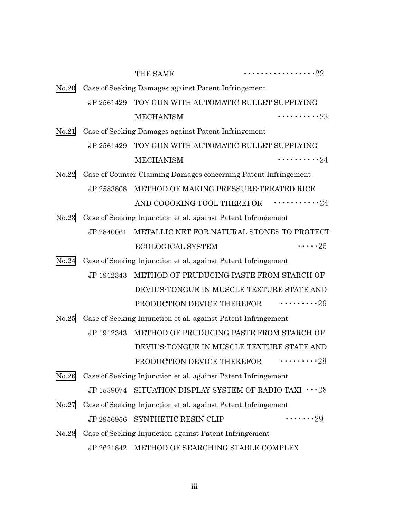|                                                                        |                                                     | THE SAME                                                        | $\cdots \cdots \cdots \cdots \cdots 22$ |
|------------------------------------------------------------------------|-----------------------------------------------------|-----------------------------------------------------------------|-----------------------------------------|
| No.20                                                                  | Case of Seeking Damages against Patent Infringement |                                                                 |                                         |
|                                                                        |                                                     | JP 2561429 TOY GUN WITH AUTOMATIC BULLET SUPPLYING              |                                         |
|                                                                        |                                                     | <b>MECHANISM</b>                                                | $\cdots \cdots \cdots 23$               |
| No.21                                                                  |                                                     | Case of Seeking Damages against Patent Infringement             |                                         |
|                                                                        | JP 2561429                                          | TOY GUN WITH AUTOMATIC BULLET SUPPLYING                         |                                         |
|                                                                        |                                                     | <b>MECHANISM</b>                                                | $\cdots \cdots \cdots 24$               |
| No.22                                                                  |                                                     | Case of Counter-Claiming Damages concerning Patent Infringement |                                         |
|                                                                        | JP 2583808                                          | METHOD OF MAKING PRESSURE-TREATED RICE                          |                                         |
|                                                                        |                                                     | AND COOOKING TOOL THEREFOR $\cdots \cdots \cdots 24$            |                                         |
| No.23<br>Case of Seeking Injunction et al. against Patent Infringement |                                                     |                                                                 |                                         |
|                                                                        | JP 2840061                                          | METALLIC NET FOR NATURAL STONES TO PROTECT                      |                                         |
|                                                                        |                                                     | ECOLOGICAL SYSTEM                                               | $\cdots$ 25                             |
| No.24                                                                  |                                                     | Case of Seeking Injunction et al. against Patent Infringement   |                                         |
|                                                                        |                                                     | JP 1912343 METHOD OF PRUDUCING PASTE FROM STARCH OF             |                                         |
|                                                                        |                                                     | DEVIL'S-TONGUE IN MUSCLE TEXTURE STATE AND                      |                                         |
|                                                                        |                                                     | PRODUCTION DEVICE THEREFOR $\cdots \cdots \cdots 26$            |                                         |
| $\rm No.25$                                                            |                                                     | Case of Seeking Injunction et al. against Patent Infringement   |                                         |
|                                                                        | JP 1912343                                          | METHOD OF PRUDUCING PASTE FROM STARCH OF                        |                                         |
|                                                                        |                                                     | DEVIL'S-TONGUE IN MUSCLE TEXTURE STATE AND                      |                                         |
|                                                                        |                                                     | PRODUCTION DEVICE THEREFOR $\cdots \cdots \cdots 28$            |                                         |
| No.26                                                                  |                                                     | Case of Seeking Injunction et al. against Patent Infringement   |                                         |
|                                                                        | JP 1539074                                          | SITUATION DISPLAY SYSTEM OF RADIO TAXI $\cdots$ 28              |                                         |
| $\rm No. 27$                                                           |                                                     | Case of Seeking Injunction et al. against Patent Infringement   |                                         |
|                                                                        | JP 2956956                                          | SYNTHETIC RESIN CLIP                                            | $\cdots \cdots 29$                      |
| No.28                                                                  |                                                     | Case of Seeking Injunction against Patent Infringement          |                                         |
|                                                                        |                                                     | JP 2621842 METHOD OF SEARCHING STABLE COMPLEX                   |                                         |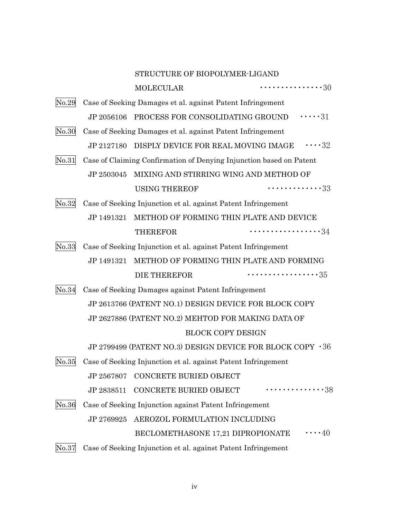|       |                                                                     | STRUCTURE OF BIOPOLYMER-LIGAND                                      |                                                            |
|-------|---------------------------------------------------------------------|---------------------------------------------------------------------|------------------------------------------------------------|
|       |                                                                     | <b>MOLECULAR</b>                                                    | $\cdots \cdots \cdots \cdots \cdots 30$                    |
| No.29 |                                                                     | Case of Seeking Damages et al. against Patent Infringement          |                                                            |
|       |                                                                     |                                                                     | JP 2056106 PROCESS FOR CONSOLIDATING GROUND $\cdots$ 31    |
| No.30 |                                                                     | Case of Seeking Damages et al. against Patent Infringement          |                                                            |
|       | JP 2127180                                                          | DISPLY DEVICE FOR REAL MOVING IMAGE                                 | $\cdots 32$                                                |
| No.31 | Case of Claiming Confirmation of Denying Injunction based on Patent |                                                                     |                                                            |
|       |                                                                     | JP 2503045 MIXING AND STIRRING WING AND METHOD OF                   |                                                            |
|       |                                                                     | <b>USING THEREOF</b>                                                | $\cdots \cdots \cdots \cdots 33$                           |
| No.32 |                                                                     | Case of Seeking Injunction et al. against Patent Infringement       |                                                            |
|       | JP 1491321                                                          |                                                                     | METHOD OF FORMING THIN PLATE AND DEVICE                    |
|       |                                                                     | <b>THEREFOR</b>                                                     | 34                                                         |
| No.33 | Case of Seeking Injunction et al. against Patent Infringement       |                                                                     |                                                            |
|       | JP 1491321                                                          |                                                                     | METHOD OF FORMING THIN PLATE AND FORMING                   |
|       |                                                                     | <b>DIE THEREFOR</b>                                                 | $\cdots \cdots \cdots \cdots \cdots 35$                    |
| No.34 |                                                                     | Case of Seeking Damages against Patent Infringement                 |                                                            |
|       |                                                                     |                                                                     | JP 2613766 (PATENT NO.1) DESIGN DEVICE FOR BLOCK COPY      |
|       |                                                                     | JP 2627886 (PATENT NO.2) MEHTOD FOR MAKING DATA OF                  |                                                            |
|       |                                                                     |                                                                     | <b>BLOCK COPY DESIGN</b>                                   |
|       |                                                                     |                                                                     | JP 2799499 (PATENT NO.3) DESIGN DEVICE FOR BLOCK COPY · 36 |
|       |                                                                     | No.35 Case of Seeking Injunction et al. against Patent Infringement |                                                            |
|       |                                                                     | JP 2567807 CONCRETE BURIED OBJECT                                   |                                                            |
|       |                                                                     | JP 2838511 CONCRETE BURIED OBJECT                                   | . 38                                                       |
| No.36 |                                                                     | Case of Seeking Injunction against Patent Infringement              |                                                            |
|       | JP 2769925                                                          | AEROZOL FORMULATION INCLUDING                                       |                                                            |
|       |                                                                     | BECLOMETHASONE 17,21 DIPROPIONATE                                   | $\cdots 40$                                                |
| No.37 |                                                                     | Case of Seeking Injunction et al. against Patent Infringement       |                                                            |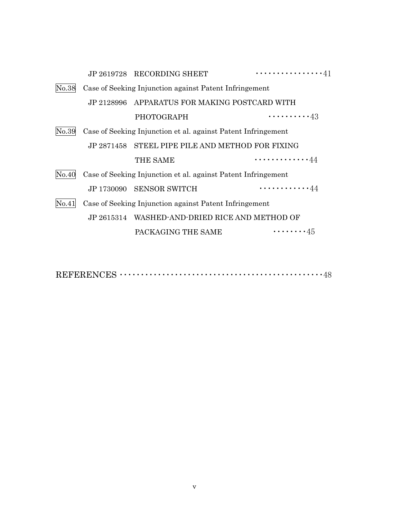|       |                                                               | JP 2619728 RECORDING SHEET                                    | . 41                      |
|-------|---------------------------------------------------------------|---------------------------------------------------------------|---------------------------|
| No.38 |                                                               | Case of Seeking Injunction against Patent Infringement        |                           |
|       |                                                               | JP 2128996 APPARATUS FOR MAKING POSTCARD WITH                 |                           |
|       |                                                               | <b>PHOTOGRAPH</b>                                             | $\cdots \cdots \cdots 43$ |
| No.39 | Case of Seeking Injunction et al. against Patent Infringement |                                                               |                           |
|       |                                                               | JP 2871458 STEEL PIPE PILE AND METHOD FOR FIXING              |                           |
|       |                                                               | THE SAME                                                      | . 44                      |
| No.40 |                                                               | Case of Seeking Injunction et al. against Patent Infringement |                           |
|       |                                                               | JP 1730090 SENSOR SWITCH                                      | <b>. 44</b>               |
| No.41 |                                                               | Case of Seeking Injunction against Patent Infringement        |                           |
|       |                                                               | JP 2615314 WASHED-AND-DRIED RICE AND METHOD OF                |                           |
|       |                                                               | PACKAGING THE SAME                                            | $\cdots \cdots \cdots 45$ |
|       |                                                               |                                                               |                           |

REFERENCES ・・・・・・・・・・・・・・・・・・・・・・・・・・・・・・・・・・・・・・・・・・・・・・・・48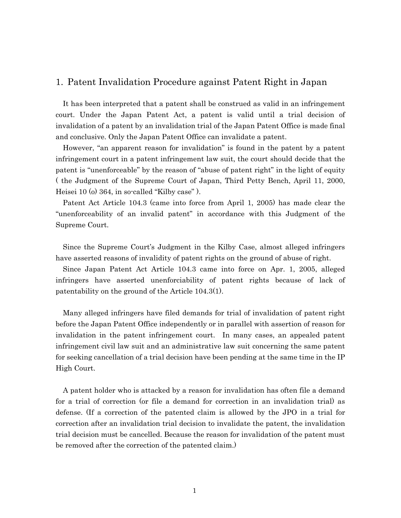## 1. Patent Invalidation Procedure against Patent Right in Japan

It has been interpreted that a patent shall be construed as valid in an infringement court. Under the Japan Patent Act, a patent is valid until a trial decision of invalidation of a patent by an invalidation trial of the Japan Patent Office is made final and conclusive. Only the Japan Patent Office can invalidate a patent.

However, "an apparent reason for invalidation" is found in the patent by a patent infringement court in a patent infringement law suit, the court should decide that the patent is "unenforceable" by the reason of "abuse of patent right" in the light of equity ( the Judgment of the Supreme Court of Japan, Third Petty Bench, April 11, 2000, Heisei 10 (o) 364, in so-called "Kilby case" ).

Patent Act Article 104.3 (came into force from April 1, 2005) has made clear the "unenforceability of an invalid patent" in accordance with this Judgment of the Supreme Court.

Since the Supreme Court's Judgment in the Kilby Case, almost alleged infringers have asserted reasons of invalidity of patent rights on the ground of abuse of right.

Since Japan Patent Act Article 104.3 came into force on Apr. 1, 2005, alleged infringers have asserted unenforciability of patent rights because of lack of patentability on the ground of the Article 104.3(1).

 Many alleged infringers have filed demands for trial of invalidation of patent right before the Japan Patent Office independently or in parallel with assertion of reason for invalidation in the patent infringement court. In many cases, an appealed patent infringement civil law suit and an administrative law suit concerning the same patent for seeking cancellation of a trial decision have been pending at the same time in the IP High Court.

 A patent holder who is attacked by a reason for invalidation has often file a demand for a trial of correction (or file a demand for correction in an invalidation trial) as defense. (If a correction of the patented claim is allowed by the JPO in a trial for correction after an invalidation trial decision to invalidate the patent, the invalidation trial decision must be cancelled. Because the reason for invalidation of the patent must be removed after the correction of the patented claim.)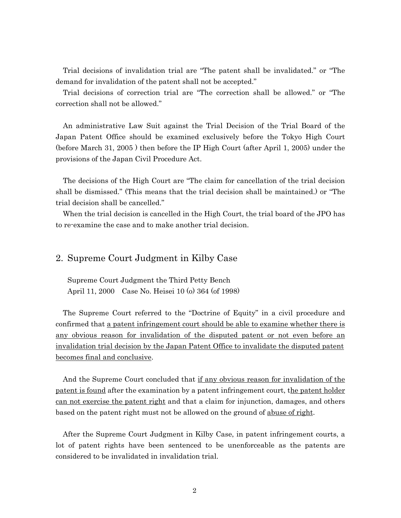Trial decisions of invalidation trial are "The patent shall be invalidated." or "The demand for invalidation of the patent shall not be accepted."

 Trial decisions of correction trial are "The correction shall be allowed." or "The correction shall not be allowed."

 An administrative Law Suit against the Trial Decision of the Trial Board of the Japan Patent Office should be examined exclusively before the Tokyo High Court (before March 31, 2005 ) then before the IP High Court (after April 1, 2005) under the provisions of the Japan Civil Procedure Act.

 The decisions of the High Court are "The claim for cancellation of the trial decision shall be dismissed." (This means that the trial decision shall be maintained.) or "The trial decision shall be cancelled."

 When the trial decision is cancelled in the High Court, the trial board of the JPO has to re-examine the case and to make another trial decision.

#### 2. Supreme Court Judgment in Kilby Case

Supreme Court Judgment the Third Petty Bench April 11, 2000 Case No. Heisei 10 (o) 364 (of 1998)

The Supreme Court referred to the "Doctrine of Equity" in a civil procedure and confirmed that a patent infringement court should be able to examine whether there is any obvious reason for invalidation of the disputed patent or not even before an invalidation trial decision by the Japan Patent Office to invalidate the disputed patent becomes final and conclusive.

And the Supreme Court concluded that if any obvious reason for invalidation of the patent is found after the examination by a patent infringement court, the patent holder can not exercise the patent right and that a claim for injunction, damages, and others based on the patent right must not be allowed on the ground of abuse of right.

After the Supreme Court Judgment in Kilby Case, in patent infringement courts, a lot of patent rights have been sentenced to be unenforceable as the patents are considered to be invalidated in invalidation trial.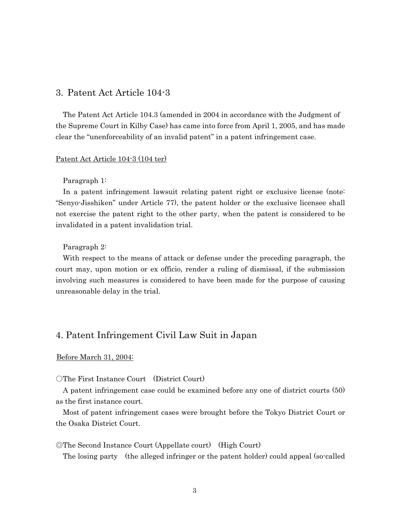## 3. Patent Act Article 104-3

The Patent Act Article 104.3 (amended in 2004 in accordance with the Judgment of the Supreme Court in Kilby Case) has came into force from April 1, 2005, and has made clear the "unenforceability of an invalid patent" in a patent infringement case.

#### Patent Act Article 104-3 (104 ter)

#### Paragraph 1:

 In a patent infringement lawsuit relating patent right or exclusive license (note: "Senyo-Jisshiken" under Article 77), the patent holder or the exclusive licensee shall not exercise the patent right to the other party, when the patent is considered to be invalidated in a patent invalidation trial.

#### Paragraph 2:

With respect to the means of attack or defense under the preceding paragraph, the court may, upon motion or ex officio, render a ruling of dismissal, if the submission involving such measures is considered to have been made for the purpose of causing unreasonable delay in the trial.

## 4. Patent Infringement Civil Law Suit in Japan

#### Before March 31, 2004:

○The First Instance Court (District Court)

A patent infringement case could be examined before any one of district courts (50) as the first instance court.

Most of patent infringement cases were brought before the Tokyo District Court or the Osaka District Court.

#### ◎The Second Instance Court (Appellate court) (High Court)

The losing party (the alleged infringer or the patent holder) could appeal (so-called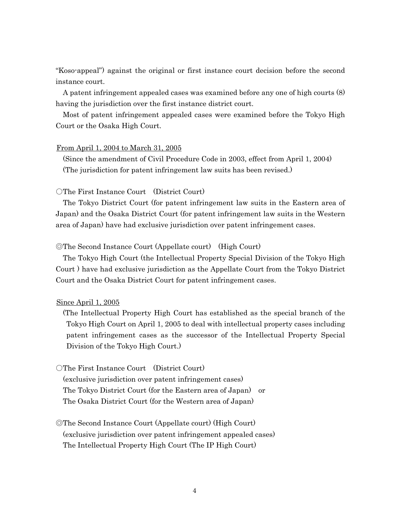"Koso-appeal") against the original or first instance court decision before the second instance court.

A patent infringement appealed cases was examined before any one of high courts (8) having the jurisdiction over the first instance district court.

Most of patent infringement appealed cases were examined before the Tokyo High Court or the Osaka High Court.

#### From April 1, 2004 to March 31, 2005

(Since the amendment of Civil Procedure Code in 2003, effect from April 1, 2004) (The jurisdiction for patent infringement law suits has been revised.)

#### ○The First Instance Court (District Court)

 The Tokyo District Court (for patent infringement law suits in the Eastern area of Japan) and the Osaka District Court (for patent infringement law suits in the Western area of Japan) have had exclusive jurisdiction over patent infringement cases.

#### ◎The Second Instance Court (Appellate court) (High Court)

The Tokyo High Court (the Intellectual Property Special Division of the Tokyo High Court ) have had exclusive jurisdiction as the Appellate Court from the Tokyo District Court and the Osaka District Court for patent infringement cases.

#### Since April 1, 2005

(The Intellectual Property High Court has established as the special branch of the Tokyo High Court on April 1, 2005 to deal with intellectual property cases including patent infringement cases as the successor of the Intellectual Property Special Division of the Tokyo High Court.)

#### ○The First Instance Court (District Court)

 (exclusive jurisdiction over patent infringement cases) The Tokyo District Court (for the Eastern area of Japan) or The Osaka District Court (for the Western area of Japan)

◎The Second Instance Court (Appellate court) (High Court) (exclusive jurisdiction over patent infringement appealed cases) The Intellectual Property High Court (The IP High Court)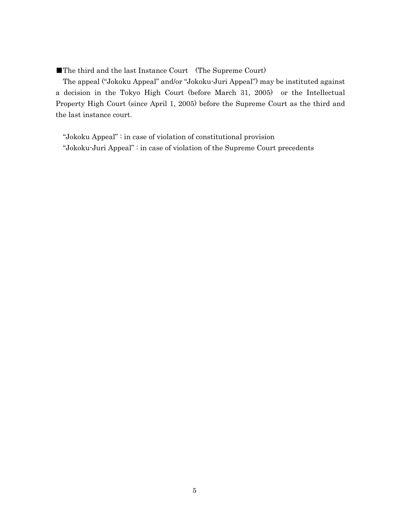■The third and the last Instance Court (The Supreme Court)

The appeal ("Jokoku Appeal" and/or "Jokoku-Juri Appeal") may be instituted against a decision in the Tokyo High Court (before March 31, 2005) or the Intellectual Property High Court (since April 1, 2005) before the Supreme Court as the third and the last instance court.

 "Jokoku Appeal" : in case of violation of constitutional provision "Jokoku-Juri Appeal" : in case of violation of the Supreme Court precedents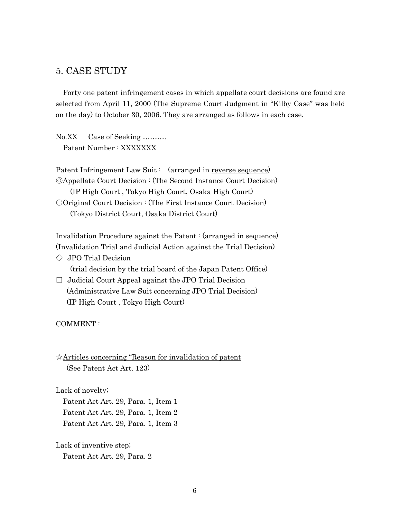## 5. CASE STUDY

Forty one patent infringement cases in which appellate court decisions are found are selected from April 11, 2000 (The Supreme Court Judgment in "Kilby Case" was held on the day) to October 30, 2006. They are arranged as follows in each case.

No.XX Case of Seeking ………. Patent Number : XXXXXXX

Patent Infringement Law Suit: (arranged in reverse sequence) ◎Appellate Court Decision : (The Second Instance Court Decision) (IP High Court , Tokyo High Court, Osaka High Court) ○Original Court Decision : (The First Instance Court Decision) (Tokyo District Court, Osaka District Court)

Invalidation Procedure against the Patent : (arranged in sequence) (Invalidation Trial and Judicial Action against the Trial Decision)

 $\Diamond$  JPO Trial Decision

(trial decision by the trial board of the Japan Patent Office)

 $\Box$  Judicial Court Appeal against the JPO Trial Decision (Administrative Law Suit concerning JPO Trial Decision) (IP High Court , Tokyo High Court)

COMMENT :

☆Articles concerning "Reason for invalidation of patent (See Patent Act Art. 123)

Lack of novelty;

 Patent Act Art. 29, Para. 1, Item 1 Patent Act Art. 29, Para. 1, Item 2 Patent Act Art. 29, Para. 1, Item 3

Lack of inventive step; Patent Act Art. 29, Para. 2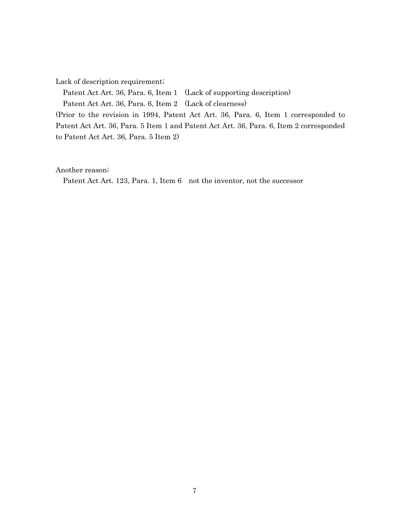Lack of description requirement;

Patent Act Art. 36, Para. 6, Item 1 (Lack of supporting description) Patent Act Art. 36, Para. 6, Item 2 (Lack of clearness) (Prior to the revision in 1994, Patent Act Art. 36, Para. 6, Item 1 corresponded to

Patent Act Art. 36, Para. 5 Item 1 and Patent Act Art. 36, Para. 6, Item 2 corresponded to Patent Act Art. 36, Para. 5 Item 2)

Another reason;

Patent Act Art. 123, Para. 1, Item 6 not the inventor, not the successor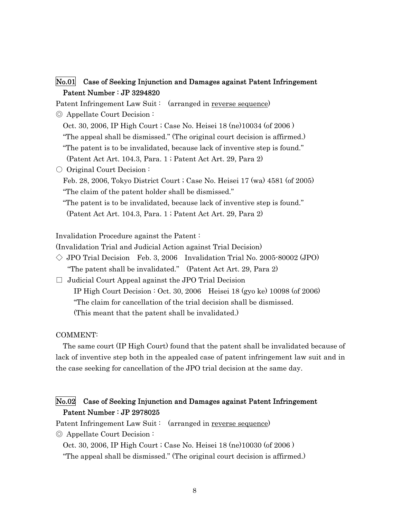## No.01 Case of Seeking Injunction and Damages against Patent Infringement Patent Number : JP 3294820

Patent Infringement Law Suit: (arranged in reverse sequence)

◎ Appellate Court Decision :

Oct. 30, 2006, IP High Court ; Case No. Heisei 18 (ne)10034 (of 2006 )

"The appeal shall be dismissed." (The original court decision is affirmed.)

"The patent is to be invalidated, because lack of inventive step is found."

(Patent Act Art. 104.3, Para. 1 ; Patent Act Art. 29, Para 2)

○ Original Court Decision:

Feb. 28, 2006, Tokyo District Court ; Case No. Heisei 17 (wa) 4581 (of 2005) "The claim of the patent holder shall be dismissed."

"The patent is to be invalidated, because lack of inventive step is found." (Patent Act Art. 104.3, Para. 1 ; Patent Act Art. 29, Para 2)

Invalidation Procedure against the Patent :

(Invalidation Trial and Judicial Action against Trial Decision)

- $\Diamond$  JPO Trial Decision Feb. 3, 2006 Invalidation Trial No. 2005-80002 (JPO) "The patent shall be invalidated." (Patent Act Art. 29, Para 2)
- $\Box$  Judicial Court Appeal against the JPO Trial Decision IP High Court Decision : Oct. 30, 2006 Heisei 18 (gyo ke) 10098 (of 2006) "The claim for cancellation of the trial decision shall be dismissed. (This meant that the patent shall be invalidated.)

COMMENT:

The same court (IP High Court) found that the patent shall be invalidated because of lack of inventive step both in the appealed case of patent infringement law suit and in the case seeking for cancellation of the JPO trial decision at the same day.

## No.02 Case of Seeking Injunction and Damages against Patent Infringement Patent Number : JP 2978025

Patent Infringement Law Suit: (arranged in reverse sequence)

◎ Appellate Court Decision :

Oct. 30, 2006, IP High Court ; Case No. Heisei 18 (ne)10030 (of 2006 ) "The appeal shall be dismissed." (The original court decision is affirmed.)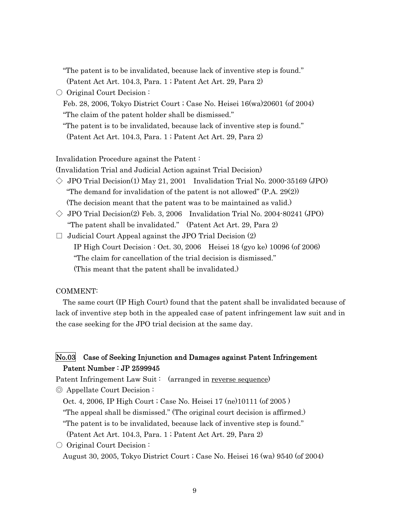| "The patent is to be invalidated, because lack of inventive step is found."  |
|------------------------------------------------------------------------------|
| (Patent Act Art. 104.3, Para. 1; Patent Act Art. 29, Para 2)                 |
| $\circ$ Original Court Decision:                                             |
| Feb. 28, 2006, Tokyo District Court ; Case No. Heisei 16(wa) 20601 (of 2004) |
| "The claim of the patent holder shall be dismissed."                         |
| "The patent is to be invalidated, because lack of inventive step is found."  |
| (Patent Act Art. 104.3, Para. 1; Patent Act Art. 29, Para 2)                 |
|                                                                              |

Invalidation Procedure against the Patent :

(Invalidation Trial and Judicial Action against Trial Decision)

- $\Diamond$  JPO Trial Decision(1) May 21, 2001 Invalidation Trial No. 2000-35169 (JPO) "The demand for invalidation of the patent is not allowed" (P.A. 29(2)) (The decision meant that the patent was to be maintained as valid.)
- $\Diamond$  JPO Trial Decision(2) Feb. 3, 2006 Invalidation Trial No. 2004-80241 (JPO) "The patent shall be invalidated." (Patent Act Art. 29, Para 2)
- $\Box$  Judicial Court Appeal against the JPO Trial Decision  $(2)$  IP High Court Decision : Oct. 30, 2006 Heisei 18 (gyo ke) 10096 (of 2006) "The claim for cancellation of the trial decision is dismissed." (This meant that the patent shall be invalidated.)

#### COMMENT:

The same court (IP High Court) found that the patent shall be invalidated because of lack of inventive step both in the appealed case of patent infringement law suit and in the case seeking for the JPO trial decision at the same day.

## No.03 Case of Seeking Injunction and Damages against Patent Infringement Patent Number : JP 2599945

Patent Infringement Law Suit: (arranged in reverse sequence)

◎ Appellate Court Decision :

Oct. 4, 2006, IP High Court ; Case No. Heisei 17 (ne)10111 (of 2005 )

"The appeal shall be dismissed." (The original court decision is affirmed.)

"The patent is to be invalidated, because lack of inventive step is found."

(Patent Act Art. 104.3, Para. 1 ; Patent Act Art. 29, Para 2)

○ Original Court Decision : August 30, 2005, Tokyo District Court ; Case No. Heisei 16 (wa) 9540 (of 2004)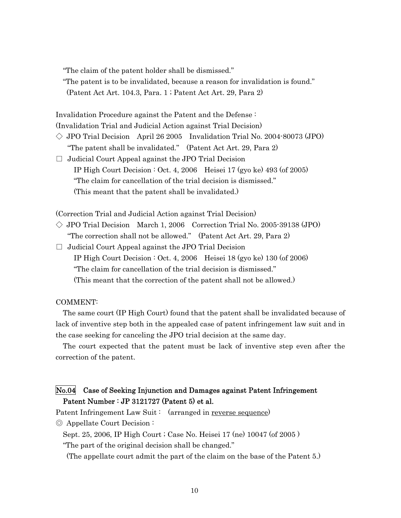"The claim of the patent holder shall be dismissed."

"The patent is to be invalidated, because a reason for invalidation is found." (Patent Act Art. 104.3, Para. 1 ; Patent Act Art. 29, Para 2)

Invalidation Procedure against the Patent and the Defense :

(Invalidation Trial and Judicial Action against Trial Decision)

- $\Diamond$  JPO Trial Decision April 26 2005 Invalidation Trial No. 2004-80073 (JPO) "The patent shall be invalidated." (Patent Act Art. 29, Para 2)
- $\Box$  Judicial Court Appeal against the JPO Trial Decision IP High Court Decision : Oct. 4, 2006 Heisei 17 (gyo ke) 493 (of 2005) "The claim for cancellation of the trial decision is dismissed." (This meant that the patent shall be invalidated.)

(Correction Trial and Judicial Action against Trial Decision)

- $\Diamond$  JPO Trial Decision March 1, 2006 Correction Trial No. 2005-39138 (JPO) "The correction shall not be allowed." (Patent Act Art. 29, Para 2)
- $\Box$  Judicial Court Appeal against the JPO Trial Decision IP High Court Decision : Oct. 4, 2006 Heisei 18 (gyo ke) 130 (of 2006) "The claim for cancellation of the trial decision is dismissed." (This meant that the correction of the patent shall not be allowed.)

#### COMMENT:

The same court (IP High Court) found that the patent shall be invalidated because of lack of inventive step both in the appealed case of patent infringement law suit and in the case seeking for canceling the JPO trial decision at the same day.

The court expected that the patent must be lack of inventive step even after the correction of the patent.

## No.04 Case of Seeking Injunction and Damages against Patent Infringement Patent Number : JP 3121727 (Patent 5) et al.

Patent Infringement Law Suit: (arranged in reverse sequence)

◎ Appellate Court Decision :

Sept. 25, 2006, IP High Court ; Case No. Heisei 17 (ne) 10047 (of 2005 )

"The part of the original decision shall be changed."

(The appellate court admit the part of the claim on the base of the Patent 5.)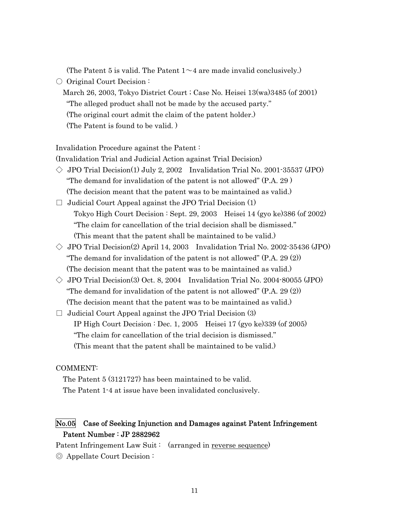(The Patent 5 is valid. The Patent  $1 \sim 4$  are made invalid conclusively.)

- Original Court Decision:
	- March 26, 2003, Tokyo District Court ; Case No. Heisei 13(wa)3485 (of 2001) "The alleged product shall not be made by the accused party." (The original court admit the claim of the patent holder.) (The Patent is found to be valid. )

Invalidation Procedure against the Patent :

(Invalidation Trial and Judicial Action against Trial Decision)

- $\Diamond$  JPO Trial Decision(1) July 2, 2002 Invalidation Trial No. 2001-35537 (JPO) "The demand for invalidation of the patent is not allowed" (P.A. 29 ) (The decision meant that the patent was to be maintained as valid.)
- $\Box$  Judicial Court Appeal against the JPO Trial Decision (1) Tokyo High Court Decision : Sept. 29, 2003 Heisei 14 (gyo ke)386 (of 2002) "The claim for cancellation of the trial decision shall be dismissed." (This meant that the patent shall be maintained to be valid.)
- $\Diamond$  JPO Trial Decision(2) April 14, 2003 Invalidation Trial No. 2002-35436 (JPO) "The demand for invalidation of the patent is not allowed" (P.A. 29 (2)) (The decision meant that the patent was to be maintained as valid.)
- $\Diamond$  JPO Trial Decision(3) Oct. 8, 2004 Invalidation Trial No. 2004-80055 (JPO) "The demand for invalidation of the patent is not allowed" (P.A. 29 (2)) (The decision meant that the patent was to be maintained as valid.)
- $\Box$  Judicial Court Appeal against the JPO Trial Decision (3) IP High Court Decision : Dec. 1, 2005 Heisei 17 (gyo ke)339 (of 2005) "The claim for cancellation of the trial decision is dismissed." (This meant that the patent shall be maintained to be valid.)

#### COMMENT:

The Patent 5 (3121727) has been maintained to be valid. The Patent 1-4 at issue have been invalidated conclusively.

## No.05 Case of Seeking Injunction and Damages against Patent Infringement Patent Number : JP 2882962

Patent Infringement Law Suit: (arranged in reverse sequence) ◎ Appellate Court Decision :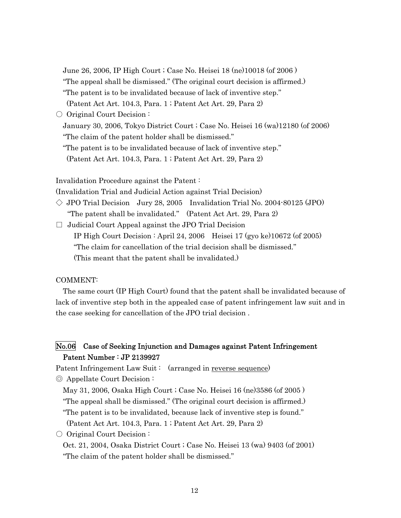June 26, 2006, IP High Court ; Case No. Heisei 18 (ne)10018 (of 2006 )

"The appeal shall be dismissed." (The original court decision is affirmed.)

"The patent is to be invalidated because of lack of inventive step."

(Patent Act Art. 104.3, Para. 1 ; Patent Act Art. 29, Para 2)

○ Original Court Decision:

January 30, 2006, Tokyo District Court ; Case No. Heisei 16 (wa)12180 (of 2006) "The claim of the patent holder shall be dismissed."

"The patent is to be invalidated because of lack of inventive step."

(Patent Act Art. 104.3, Para. 1 ; Patent Act Art. 29, Para 2)

Invalidation Procedure against the Patent :

(Invalidation Trial and Judicial Action against Trial Decision)

 $\Diamond$  JPO Trial Decision Jury 28, 2005 Invalidation Trial No. 2004-80125 (JPO) "The patent shall be invalidated." (Patent Act Art. 29, Para 2)

 $\Box$  Judicial Court Appeal against the JPO Trial Decision

IP High Court Decision : April 24, 2006 Heisei 17 (gyo ke)10672 (of 2005)

"The claim for cancellation of the trial decision shall be dismissed."

(This meant that the patent shall be invalidated.)

#### COMMENT:

The same court (IP High Court) found that the patent shall be invalidated because of lack of inventive step both in the appealed case of patent infringement law suit and in the case seeking for cancellation of the JPO trial decision .

## No.06 Case of Seeking Injunction and Damages against Patent Infringement Patent Number : JP 2139927

Patent Infringement Law Suit : (arranged in reverse sequence)

◎ Appellate Court Decision :

May 31, 2006, Osaka High Court ; Case No. Heisei 16 (ne)3586 (of 2005 ) "The appeal shall be dismissed." (The original court decision is affirmed.)

"The patent is to be invalidated, because lack of inventive step is found."

(Patent Act Art. 104.3, Para. 1 ; Patent Act Art. 29, Para 2)

○ Original Court Decision :

Oct. 21, 2004, Osaka District Court ; Case No. Heisei 13 (wa) 9403 (of 2001) "The claim of the patent holder shall be dismissed."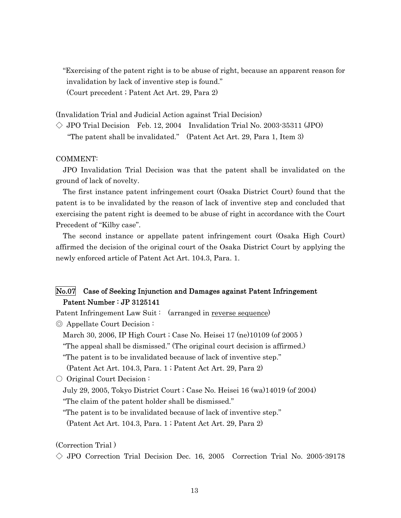"Exercising of the patent right is to be abuse of right, because an apparent reason for invalidation by lack of inventive step is found." (Court precedent ; Patent Act Art. 29, Para 2)

(Invalidation Trial and Judicial Action against Trial Decision)

 $\Diamond$  JPO Trial Decision Feb. 12, 2004 Invalidation Trial No. 2003-35311 (JPO)

"The patent shall be invalidated." (Patent Act Art. 29, Para 1, Item 3)

#### COMMENT:

JPO Invalidation Trial Decision was that the patent shall be invalidated on the ground of lack of novelty.

The first instance patent infringement court (Osaka District Court) found that the patent is to be invalidated by the reason of lack of inventive step and concluded that exercising the patent right is deemed to be abuse of right in accordance with the Court Precedent of "Kilby case".

The second instance or appellate patent infringement court (Osaka High Court) affirmed the decision of the original court of the Osaka District Court by applying the newly enforced article of Patent Act Art. 104.3, Para. 1.

## No.07 Case of Seeking Injunction and Damages against Patent Infringement Patent Number : JP 3125141

Patent Infringement Law Suit: (arranged in reverse sequence)

◎ Appellate Court Decision :

March 30, 2006, IP High Court ; Case No. Heisei 17 (ne)10109 (of 2005 )

"The appeal shall be dismissed." (The original court decision is affirmed.)

"The patent is to be invalidated because of lack of inventive step."

(Patent Act Art. 104.3, Para. 1 ; Patent Act Art. 29, Para 2)

○ Original Court Decision :

July 29, 2005, Tokyo District Court ; Case No. Heisei 16 (wa)14019 (of 2004) "The claim of the patent holder shall be dismissed."

"The patent is to be invalidated because of lack of inventive step."

(Patent Act Art. 104.3, Para. 1 ; Patent Act Art. 29, Para 2)

(Correction Trial )

 $\Diamond$  JPO Correction Trial Decision Dec. 16, 2005 Correction Trial No. 2005-39178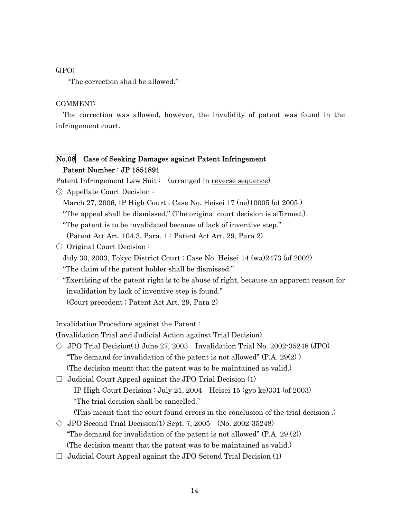#### (JPO)

"The correction shall be allowed."

#### COMMENT:

The correction was allowed, however, the invalidity of patent was found in the infringement court.

## No.08 Case of Seeking Damages against Patent Infringement Patent Number : JP 1851891

Patent Infringement Law Suit : (arranged in reverse sequence)

◎ Appellate Court Decision :

March 27, 2006, IP High Court ; Case No. Heisei 17 (ne)10005 (of 2005 )

"The appeal shall be dismissed." (The original court decision is affirmed.)

"The patent is to be invalidated because of lack of inventive step."

(Patent Act Art. 104.3, Para. 1 ; Patent Act Art. 29, Para 2)

○ Original Court Decision:

July 30, 2003, Tokyo District Court ; Case No. Heisei 14 (wa)2473 (of 2002)

"The claim of the patent holder shall be dismissed."

"Exercising of the patent right is to be abuse of right, because an apparent reason for invalidation by lack of inventive step is found."

(Court precedent ; Patent Act Art. 29, Para 2)

Invalidation Procedure against the Patent :

(Invalidation Trial and Judicial Action against Trial Decision)

- $\Diamond$  JPO Trial Decision(1) June 27, 2003 Invalidation Trial No. 2002-35248 (JPO) "The demand for invalidation of the patent is not allowed"  $(P.A. 29(2))$ (The decision meant that the patent was to be maintained as valid.)
- $\Box$  Judicial Court Appeal against the JPO Trial Decision (1) IP High Court Decision : July 21, 2004 Heisei 15 (gyo ke)331 (of 2003) "The trial decision shall be cancelled."

(This meant that the court found errors in the conclusion of the trial decision .)

- $\Diamond$  JPO Second Trial Decision(1) Sept. 7, 2005 (No. 2002-35248) "The demand for invalidation of the patent is not allowed" (P.A. 29 (2)) (The decision meant that the patent was to be maintained as valid.)
- $\Box$  Judicial Court Appeal against the JPO Second Trial Decision (1)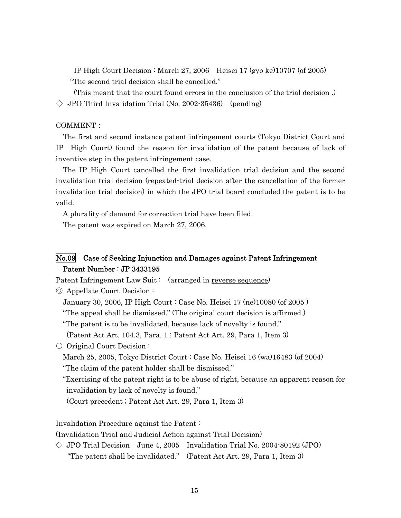IP High Court Decision : March 27, 2006 Heisei 17 (gyo ke)10707 (of 2005) "The second trial decision shall be cancelled."

 (This meant that the court found errors in the conclusion of the trial decision .)  $\Diamond$  JPO Third Invalidation Trial (No. 2002-35436) (pending)

#### COMMENT:

The first and second instance patent infringement courts (Tokyo District Court and IP High Court) found the reason for invalidation of the patent because of lack of inventive step in the patent infringement case.

The IP High Court cancelled the first invalidation trial decision and the second invalidation trial decision (repeated-trial decision after the cancellation of the former invalidation trial decision) in which the JPO trial board concluded the patent is to be valid.

A plurality of demand for correction trial have been filed.

The patent was expired on March 27, 2006.

## No.09 Case of Seeking Injunction and Damages against Patent Infringement Patent Number : JP 3433195

Patent Infringement Law Suit: (arranged in reverse sequence)

◎ Appellate Court Decision :

January 30, 2006, IP High Court ; Case No. Heisei 17 (ne)10080 (of 2005 )

"The appeal shall be dismissed." (The original court decision is affirmed.)

"The patent is to be invalidated, because lack of novelty is found."

(Patent Act Art. 104.3, Para. 1 ; Patent Act Art. 29, Para 1, Item 3)

○ Original Court Decision:

March 25, 2005, Tokyo District Court ; Case No. Heisei 16 (wa)16483 (of 2004)

"The claim of the patent holder shall be dismissed."

"Exercising of the patent right is to be abuse of right, because an apparent reason for invalidation by lack of novelty is found."

(Court precedent ; Patent Act Art. 29, Para 1, Item 3)

Invalidation Procedure against the Patent :

(Invalidation Trial and Judicial Action against Trial Decision)

 $\Diamond$  JPO Trial Decision June 4, 2005 Invalidation Trial No. 2004-80192 (JPO) "The patent shall be invalidated." (Patent Act Art. 29, Para 1, Item 3)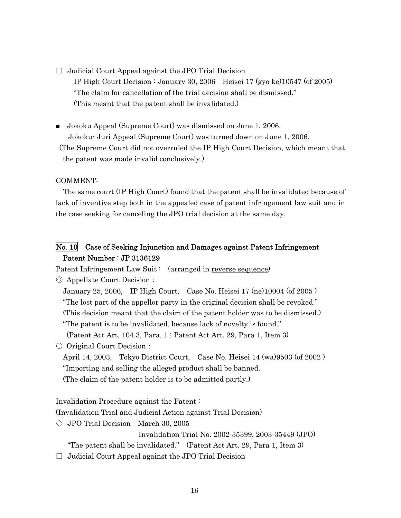$\Box$  Judicial Court Appeal against the JPO Trial Decision IP High Court Decision : January 30, 2006 Heisei 17 (gyo ke)10547 (of 2005) "The claim for cancellation of the trial decision shall be dismissed." (This meant that the patent shall be invalidated.)

■ Jokoku Appeal (Supreme Court) was dismissed on June 1, 2006.

 Jokoku- Juri Appeal (Supreme Court) was turned down on June 1, 2006. (The Supreme Court did not overruled the IP High Court Decision, which meant that the patent was made invalid conclusively.)

#### COMMENT:

The same court (IP High Court) found that the patent shall be invalidated because of lack of inventive step both in the appealed case of patent infringement law suit and in the case seeking for canceling the JPO trial decision at the same day.

## No. 10 Case of Seeking Injunction and Damages against Patent Infringement Patent Number : JP 3136129

Patent Infringement Law Suit: (arranged in reverse sequence)

◎ Appellate Court Decision:

January 25, 2006, IP High Court, Case No. Heisei 17 (ne)10004 (of 2005 ) "The lost part of the appellor party in the original decision shall be revoked." (This decision meant that the claim of the patent holder was to be dismissed.) "The patent is to be invalidated, because lack of novelty is found." (Patent Act Art. 104.3, Para. 1 ; Patent Act Art. 29, Para 1, Item 3)

○ Original Court Decision:

April 14, 2003, Tokyo District Court, Case No. Heisei 14 (wa)9503 (of 2002 ) "Importing and selling the alleged product shall be banned. (The claim of the patent holder is to be admitted partly.)

Invalidation Procedure against the Patent :

(Invalidation Trial and Judicial Action against Trial Decision)

 $\Diamond$  JPO Trial Decision March 30, 2005

Invalidation Trial No. 2002-35399, 2003-35449 (JPO)

"The patent shall be invalidated." (Patent Act Art. 29, Para 1, Item 3)

 $\Box$  Judicial Court Appeal against the JPO Trial Decision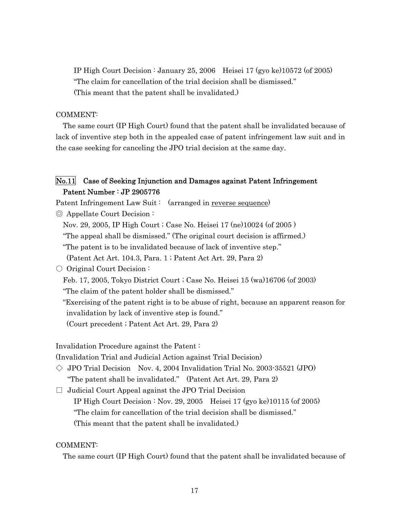IP High Court Decision : January 25, 2006 Heisei 17 (gyo ke)10572 (of 2005) "The claim for cancellation of the trial decision shall be dismissed." (This meant that the patent shall be invalidated.)

#### COMMENT:

The same court (IP High Court) found that the patent shall be invalidated because of lack of inventive step both in the appealed case of patent infringement law suit and in the case seeking for canceling the JPO trial decision at the same day.

## No.11 Case of Seeking Injunction and Damages against Patent Infringement Patent Number : JP 2905776

Patent Infringement Law Suit : (arranged in reverse sequence)

◎ Appellate Court Decision :

Nov. 29, 2005, IP High Court ; Case No. Heisei 17 (ne)10024 (of 2005 )

"The appeal shall be dismissed." (The original court decision is affirmed.)

"The patent is to be invalidated because of lack of inventive step."

(Patent Act Art. 104.3, Para. 1 ; Patent Act Art. 29, Para 2)

#### ○ Original Court Decision :

Feb. 17, 2005, Tokyo District Court ; Case No. Heisei 15 (wa)16706 (of 2003)

"The claim of the patent holder shall be dismissed."

"Exercising of the patent right is to be abuse of right, because an apparent reason for invalidation by lack of inventive step is found."

(Court precedent ; Patent Act Art. 29, Para 2)

Invalidation Procedure against the Patent :

(Invalidation Trial and Judicial Action against Trial Decision)

 $\Diamond$  JPO Trial Decision Nov. 4, 2004 Invalidation Trial No. 2003-35521 (JPO) "The patent shall be invalidated." (Patent Act Art. 29, Para 2)

 $\Box$  Judicial Court Appeal against the JPO Trial Decision IP High Court Decision : Nov. 29, 2005 Heisei 17 (gyo ke)10115 (of 2005) "The claim for cancellation of the trial decision shall be dismissed." (This meant that the patent shall be invalidated.)

#### COMMENT:

The same court (IP High Court) found that the patent shall be invalidated because of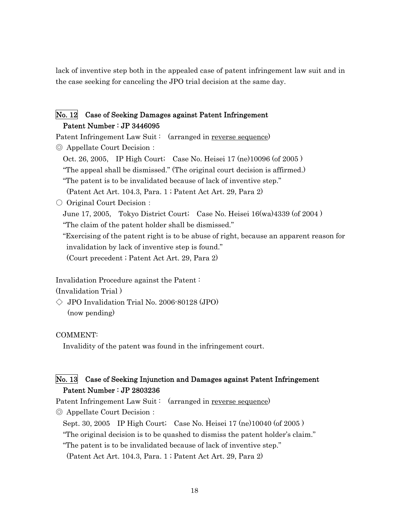lack of inventive step both in the appealed case of patent infringement law suit and in the case seeking for canceling the JPO trial decision at the same day.

## No. 12 Case of Seeking Damages against Patent Infringement Patent Number : JP 3446095

Patent Infringement Law Suit: (arranged in reverse sequence) ◎ Appellate Court Decision:

Oct. 26, 2005, IP High Court; Case No. Heisei 17 (ne)10096 (of 2005 )

"The appeal shall be dismissed." (The original court decision is affirmed.)

"The patent is to be invalidated because of lack of inventive step."

(Patent Act Art. 104.3, Para. 1 ; Patent Act Art. 29, Para 2)

○ Original Court Decision:

June 17, 2005, Tokyo District Court; Case No. Heisei 16(wa)4339 (of 2004 )

"The claim of the patent holder shall be dismissed."

"Exercising of the patent right is to be abuse of right, because an apparent reason for invalidation by lack of inventive step is found."

(Court precedent ; Patent Act Art. 29, Para 2)

Invalidation Procedure against the Patent :

(Invalidation Trial )

 $\Diamond$  JPO Invalidation Trial No. 2006-80128 (JPO) (now pending)

COMMENT:

Invalidity of the patent was found in the infringement court.

## No. 13 Case of Seeking Injunction and Damages against Patent Infringement Patent Number : JP 2803236

Patent Infringement Law Suit: (arranged in reverse sequence)

◎ Appellate Court Decision:

Sept. 30, 2005 IP High Court; Case No. Heisei 17 (ne)10040 (of 2005 )

"The original decision is to be quashed to dismiss the patent holder's claim."

"The patent is to be invalidated because of lack of inventive step."

(Patent Act Art. 104.3, Para. 1 ; Patent Act Art. 29, Para 2)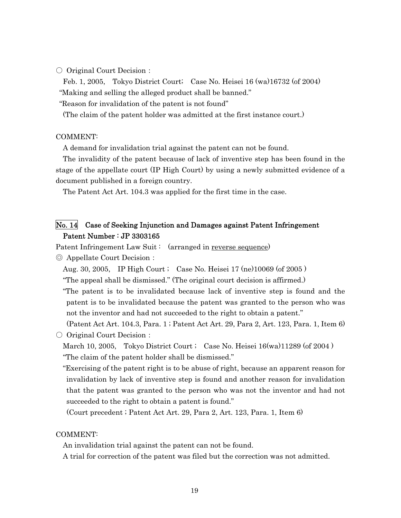○ Original Court Decision:

Feb. 1, 2005, Tokyo District Court; Case No. Heisei 16 (wa)16732 (of 2004) "Making and selling the alleged product shall be banned."

"Reason for invalidation of the patent is not found"

(The claim of the patent holder was admitted at the first instance court.)

#### COMMENT:

A demand for invalidation trial against the patent can not be found.

The invalidity of the patent because of lack of inventive step has been found in the stage of the appellate court (IP High Court) by using a newly submitted evidence of a document published in a foreign country.

The Patent Act Art. 104.3 was applied for the first time in the case.

## No. 14 Case of Seeking Injunction and Damages against Patent Infringement Patent Number : JP 3303165

Patent Infringement Law Suit: (arranged in reverse sequence)

◎ Appellate Court Decision:

Aug. 30, 2005, IP High Court ; Case No. Heisei 17 (ne)10069 (of 2005 )

"The appeal shall be dismissed." (The original court decision is affirmed.)

"The patent is to be invalidated because lack of inventive step is found and the patent is to be invalidated because the patent was granted to the person who was not the inventor and had not succeeded to the right to obtain a patent."

 (Patent Act Art. 104.3, Para. 1 ; Patent Act Art. 29, Para 2, Art. 123, Para. 1, Item 6) ○ Original Court Decision:

March 10, 2005, Tokyo District Court ; Case No. Heisei 16(wa)11289 (of 2004) "The claim of the patent holder shall be dismissed."

"Exercising of the patent right is to be abuse of right, because an apparent reason for invalidation by lack of inventive step is found and another reason for invalidation that the patent was granted to the person who was not the inventor and had not succeeded to the right to obtain a patent is found."

(Court precedent ; Patent Act Art. 29, Para 2, Art. 123, Para. 1, Item 6)

#### COMMENT:

An invalidation trial against the patent can not be found.

A trial for correction of the patent was filed but the correction was not admitted.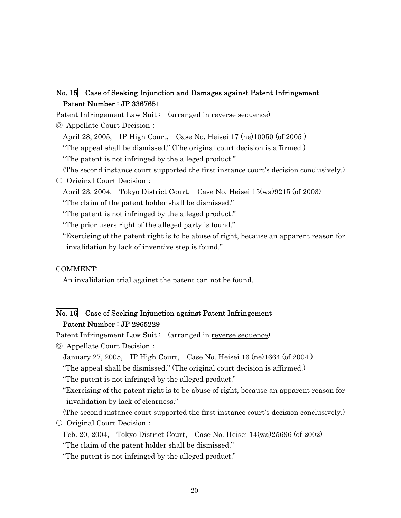## No. 15 Case of Seeking Injunction and Damages against Patent Infringement Patent Number : JP 3367651

Patent Infringement Law Suit: (arranged in reverse sequence)

◎ Appellate Court Decision:

April 28, 2005, IP High Court, Case No. Heisei 17 (ne)10050 (of 2005 )

"The appeal shall be dismissed." (The original court decision is affirmed.)

"The patent is not infringed by the alleged product."

(The second instance court supported the first instance court's decision conclusively.)

○ Original Court Decision:

April 23, 2004, Tokyo District Court, Case No. Heisei 15(wa)9215 (of 2003) "The claim of the patent holder shall be dismissed."

"The patent is not infringed by the alleged product."

"The prior users right of the alleged party is found."

"Exercising of the patent right is to be abuse of right, because an apparent reason for invalidation by lack of inventive step is found."

#### COMMENT:

An invalidation trial against the patent can not be found.

## No. 16 Case of Seeking Injunction against Patent Infringement Patent Number : JP 2965229

Patent Infringement Law Suit: (arranged in reverse sequence)

◎ Appellate Court Decision:

January 27, 2005, IP High Court, Case No. Heisei 16 (ne)1664 (of 2004 )

"The appeal shall be dismissed." (The original court decision is affirmed.)

"The patent is not infringed by the alleged product."

"Exercising of the patent right is to be abuse of right, because an apparent reason for invalidation by lack of clearness."

(The second instance court supported the first instance court's decision conclusively.)

○ Original Court Decision:

Feb. 20, 2004, Tokyo District Court, Case No. Heisei 14(wa)25696 (of 2002) "The claim of the patent holder shall be dismissed."

"The patent is not infringed by the alleged product."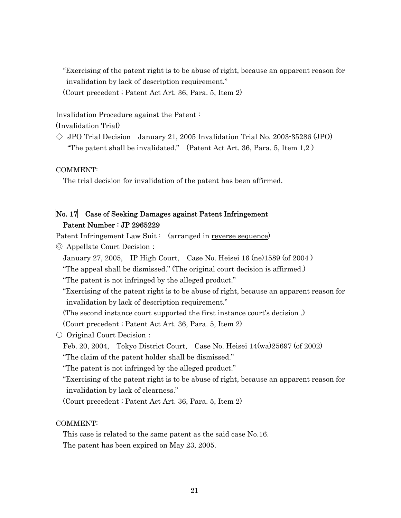"Exercising of the patent right is to be abuse of right, because an apparent reason for invalidation by lack of description requirement." (Court precedent ; Patent Act Art. 36, Para. 5, Item 2)

Invalidation Procedure against the Patent :

(Invalidation Trial)

 $\Diamond$  JPO Trial Decision January 21, 2005 Invalidation Trial No. 2003-35286 (JPO) "The patent shall be invalidated." (Patent Act Art. 36, Para. 5, Item  $1,2$ )

COMMENT:

The trial decision for invalidation of the patent has been affirmed.

## No. 17 Case of Seeking Damages against Patent Infringement Patent Number : JP 2965229

Patent Infringement Law Suit : (arranged in reverse sequence)

- ◎ Appellate Court Decision:
	- January 27, 2005, IP High Court, Case No. Heisei 16 (ne)1589 (of 2004 )
	- "The appeal shall be dismissed." (The original court decision is affirmed.)

"The patent is not infringed by the alleged product."

"Exercising of the patent right is to be abuse of right, because an apparent reason for invalidation by lack of description requirement."

(The second instance court supported the first instance court's decision .)

(Court precedent ; Patent Act Art. 36, Para. 5, Item 2)

- Original Court Decision:
	- Feb. 20, 2004, Tokyo District Court, Case No. Heisei 14(wa)25697 (of 2002) "The claim of the patent holder shall be dismissed."

"The patent is not infringed by the alleged product."

"Exercising of the patent right is to be abuse of right, because an apparent reason for invalidation by lack of clearness."

(Court precedent ; Patent Act Art. 36, Para. 5, Item 2)

COMMENT:

This case is related to the same patent as the said case No.16. The patent has been expired on May 23, 2005.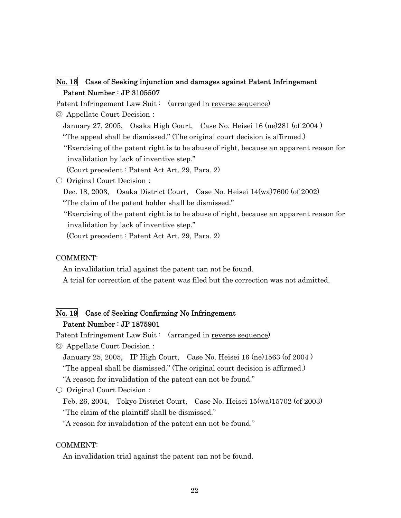## No. 18 Case of Seeking injunction and damages against Patent Infringement Patent Number : JP 3105507

Patent Infringement Law Suit: (arranged in reverse sequence)

◎ Appellate Court Decision:

January 27, 2005, Osaka High Court, Case No. Heisei 16 (ne)281 (of 2004 )

"The appeal shall be dismissed." (The original court decision is affirmed.)

 "Exercising of the patent right is to be abuse of right, because an apparent reason for invalidation by lack of inventive step."

(Court precedent ; Patent Act Art. 29, Para. 2)

○ Original Court Decision:

Dec. 18, 2003, Osaka District Court, Case No. Heisei 14(wa)7600 (of 2002)

"The claim of the patent holder shall be dismissed."

 "Exercising of the patent right is to be abuse of right, because an apparent reason for invalidation by lack of inventive step."

(Court precedent ; Patent Act Art. 29, Para. 2)

#### COMMENT:

An invalidation trial against the patent can not be found.

A trial for correction of the patent was filed but the correction was not admitted.

## No. 19 Case of Seeking Confirming No Infringement Patent Number : JP 1875901

Patent Infringement Law Suit: (arranged in reverse sequence)

◎ Appellate Court Decision:

January 25, 2005, IP High Court, Case No. Heisei 16 (ne)1563 (of 2004 )

"The appeal shall be dismissed." (The original court decision is affirmed.)

"A reason for invalidation of the patent can not be found."

○ Original Court Decision:

Feb. 26, 2004, Tokyo District Court, Case No. Heisei 15(wa)15702 (of 2003) "The claim of the plaintiff shall be dismissed."

"A reason for invalidation of the patent can not be found."

#### COMMENT:

An invalidation trial against the patent can not be found.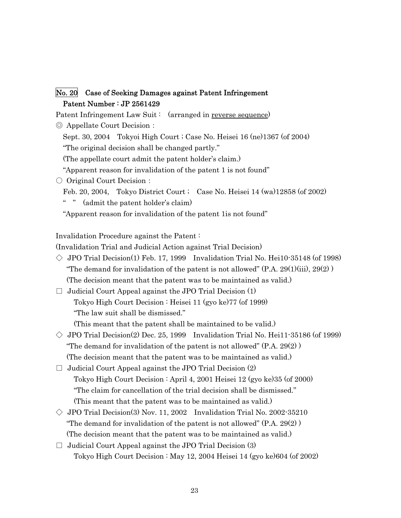## No. 20 Case of Seeking Damages against Patent Infringement Patent Number : JP 2561429

Patent Infringement Law Suit: (arranged in reverse sequence)

◎ Appellate Court Decision:

Sept. 30, 2004 Tokyoi High Court ; Case No. Heisei 16 (ne)1367 (of 2004) "The original decision shall be changed partly."

(The appellate court admit the patent holder's claim.)

"Apparent reason for invalidation of the patent 1 is not found"

○ Original Court Decision:

Feb. 20, 2004, Tokyo District Court ; Case No. Heisei 14 (wa)12858 (of 2002)

" " (admit the patent holder's claim)

"Apparent reason for invalidation of the patent 1is not found"

Invalidation Procedure against the Patent :

(Invalidation Trial and Judicial Action against Trial Decision)

- $\Diamond$  JPO Trial Decision(1) Feb. 17, 1999 Invalidation Trial No. Hei10-35148 (of 1998) "The demand for invalidation of the patent is not allowed"  $(P.A. 29(1)(iii), 29(2))$ (The decision meant that the patent was to be maintained as valid.)
- $\Box$  Judicial Court Appeal against the JPO Trial Decision  $(1)$  Tokyo High Court Decision : Heisei 11 (gyo ke)77 (of 1999) "The law suit shall be dismissed."

(This meant that the patent shall be maintained to be valid.)

- $\Diamond$  JPO Trial Decision(2) Dec. 25, 1999 Invalidation Trial No. Hei11-35186 (of 1999) "The demand for invalidation of the patent is not allowed"  $(P.A. 29(2))$ (The decision meant that the patent was to be maintained as valid.)
- $\Box$  Judicial Court Appeal against the JPO Trial Decision  $(2)$  Tokyo High Court Decision : April 4, 2001 Heisei 12 (gyo ke)35 (of 2000) "The claim for cancellation of the trial decision shall be dismissed." (This meant that the patent was to be maintained as valid.)
- $\Diamond$  JPO Trial Decision(3) Nov. 11, 2002 Invalidation Trial No. 2002-35210 "The demand for invalidation of the patent is not allowed" (P.A. 29(2) ) (The decision meant that the patent was to be maintained as valid.)
- $\Box$  Judicial Court Appeal against the JPO Trial Decision (3) Tokyo High Court Decision : May 12, 2004 Heisei 14 (gyo ke)604 (of 2002)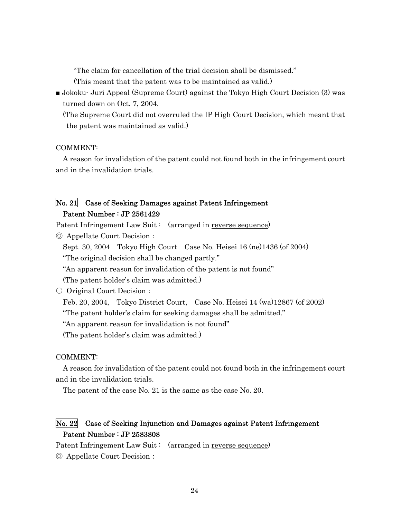"The claim for cancellation of the trial decision shall be dismissed."

- (This meant that the patent was to be maintained as valid.)
- Jokoku- Juri Appeal (Supreme Court) against the Tokyo High Court Decision (3) was turned down on Oct. 7, 2004.

(The Supreme Court did not overruled the IP High Court Decision, which meant that the patent was maintained as valid.)

#### COMMENT:

A reason for invalidation of the patent could not found both in the infringement court and in the invalidation trials.

## No. 21 Case of Seeking Damages against Patent Infringement Patent Number : JP 2561429

Patent Infringement Law Suit : (arranged in reverse sequence)

◎ Appellate Court Decision:

Sept. 30, 2004 Tokyo High Court Case No. Heisei 16 (ne)1436 (of 2004) "The original decision shall be changed partly."

"An apparent reason for invalidation of the patent is not found"

(The patent holder's claim was admitted.)

○ Original Court Decision:

Feb. 20, 2004, Tokyo District Court, Case No. Heisei 14 (wa)12867 (of 2002)

"The patent holder's claim for seeking damages shall be admitted."

"An apparent reason for invalidation is not found"

(The patent holder's claim was admitted.)

#### COMMENT:

A reason for invalidation of the patent could not found both in the infringement court and in the invalidation trials.

The patent of the case No. 21 is the same as the case No. 20.

## No. 22 Case of Seeking Injunction and Damages against Patent Infringement Patent Number : JP 2583808

Patent Infringement Law Suit : (arranged in reverse sequence)

◎ Appellate Court Decision: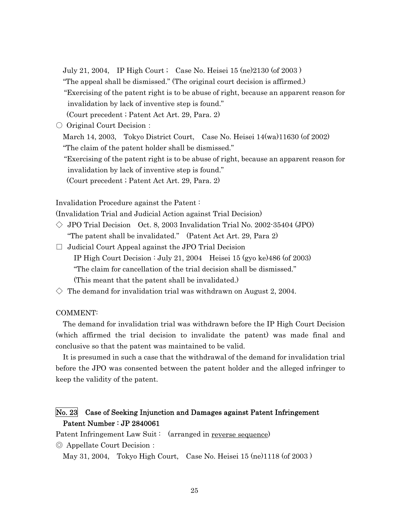July 21, 2004, IP High Court ; Case No. Heisei 15 (ne)2130 (of 2003 )

"The appeal shall be dismissed." (The original court decision is affirmed.)

 "Exercising of the patent right is to be abuse of right, because an apparent reason for invalidation by lack of inventive step is found."

(Court precedent ; Patent Act Art. 29, Para. 2)

○ Original Court Decision:

March 14, 2003, Tokyo District Court, Case No. Heisei 14(wa)11630 (of 2002) "The claim of the patent holder shall be dismissed."

 "Exercising of the patent right is to be abuse of right, because an apparent reason for invalidation by lack of inventive step is found."

(Court precedent ; Patent Act Art. 29, Para. 2)

Invalidation Procedure against the Patent :

(Invalidation Trial and Judicial Action against Trial Decision)

- $\Diamond$  JPO Trial Decision Oct. 8, 2003 Invalidation Trial No. 2002-35404 (JPO) "The patent shall be invalidated." (Patent Act Art. 29, Para 2)
- $\Box$  Judicial Court Appeal against the JPO Trial Decision IP High Court Decision : July 21, 2004 Heisei 15 (gyo ke)486 (of 2003) "The claim for cancellation of the trial decision shall be dismissed." (This meant that the patent shall be invalidated.)
- $\diamondsuit$  The demand for invalidation trial was withdrawn on August 2, 2004.

#### COMMENT:

The demand for invalidation trial was withdrawn before the IP High Court Decision (which affirmed the trial decision to invalidate the patent) was made final and conclusive so that the patent was maintained to be valid.

It is presumed in such a case that the withdrawal of the demand for invalidation trial before the JPO was consented between the patent holder and the alleged infringer to keep the validity of the patent.

## No. 23 Case of Seeking Injunction and Damages against Patent Infringement Patent Number : JP 2840061

Patent Infringement Law Suit: (arranged in reverse sequence)

◎ Appellate Court Decision:

May 31, 2004, Tokyo High Court, Case No. Heisei 15 (ne)1118 (of 2003 )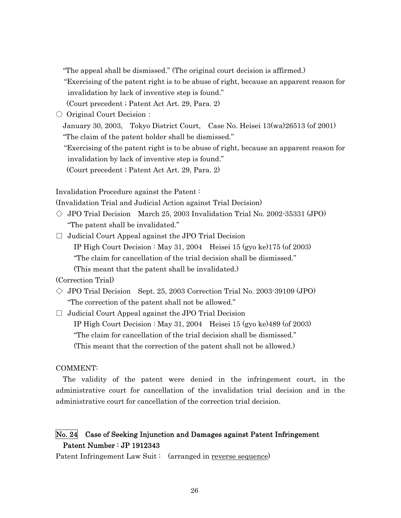"The appeal shall be dismissed." (The original court decision is affirmed.)

 "Exercising of the patent right is to be abuse of right, because an apparent reason for invalidation by lack of inventive step is found."

(Court precedent ; Patent Act Art. 29, Para. 2)

○ Original Court Decision:

January 30, 2003, Tokyo District Court, Case No. Heisei 13(wa)26513 (of 2001) "The claim of the patent holder shall be dismissed."

 "Exercising of the patent right is to be abuse of right, because an apparent reason for invalidation by lack of inventive step is found."

(Court precedent ; Patent Act Art. 29, Para. 2)

Invalidation Procedure against the Patent :

(Invalidation Trial and Judicial Action against Trial Decision)

- $\Diamond$  JPO Trial Decision March 25, 2003 Invalidation Trial No. 2002-35331 (JPO) "The patent shall be invalidated."
- $\Box$  Judicial Court Appeal against the JPO Trial Decision IP High Court Decision : May 31, 2004 Heisei 15 (gyo ke)175 (of 2003) "The claim for cancellation of the trial decision shall be dismissed." (This meant that the patent shall be invalidated.)

(Correction Trial)

 $\Diamond$  JPO Trial Decision Sept. 25, 2003 Correction Trial No. 2003-39109 (JPO) "The correction of the patent shall not be allowed."

 $\Box$  Judicial Court Appeal against the JPO Trial Decision IP High Court Decision : May 31, 2004 Heisei 15 (gyo ke)489 (of 2003) "The claim for cancellation of the trial decision shall be dismissed." (This meant that the correction of the patent shall not be allowed.)

#### COMMENT:

The validity of the patent were denied in the infringement court, in the administrative court for cancellation of the invalidation trial decision and in the administrative court for cancellation of the correction trial decision.

## No. 24 Case of Seeking Injunction and Damages against Patent Infringement Patent Number : JP 1912343

Patent Infringement Law Suit: (arranged in reverse sequence)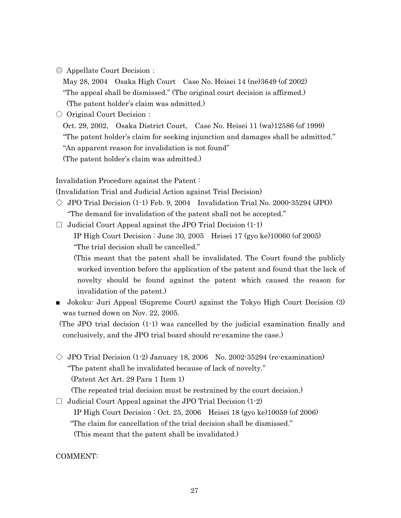◎ Appellate Court Decision:

May 28, 2004 Osaka High Court Case No. Heisei 14 (ne)3649 (of 2002) "The appeal shall be dismissed." (The original court decision is affirmed.) (The patent holder's claim was admitted.)

○ Original Court Decision :

Oct. 29, 2002, Osaka District Court, Case No. Heisei 11 (wa)12586 (of 1999)

"The patent holder's claim for seeking injunction and damages shall be admitted."

"An apparent reason for invalidation is not found"

(The patent holder's claim was admitted.)

Invalidation Procedure against the Patent :

(Invalidation Trial and Judicial Action against Trial Decision)

 $\Diamond$  JPO Trial Decision (1-1) Feb. 9, 2004 Invalidation Trial No. 2000-35294 (JPO) "The demand for invalidation of the patent shall not be accepted."

 $\Box$  Judicial Court Appeal against the JPO Trial Decision  $(1-1)$ 

 IP High Court Decision : June 30, 2005 Heisei 17 (gyo ke)10060 (of 2005) "The trial decision shall be cancelled."

 (This meant that the patent shall be invalidated. The Court found the publicly worked invention before the application of the patent and found that the lack of novelty should be found against the patent which caused the reason for invalidation of the patent.)

■ Jokoku<sup>-</sup> Juri Appeal (Supreme Court) against the Tokyo High Court Decision (3) was turned down on Nov. 22, 2005.

(The JPO trial decision (1-1) was cancelled by the judicial examination finally and conclusively, and the JPO trial board should re-examine the case.)

 $\Diamond$  JPO Trial Decision (1-2) January 18, 2006 No. 2002-35294 (re-examination) "The patent shall be invalidated because of lack of novelty." (Patent Act Art. 29 Para 1 Item 1)

(The repeated trial decision must be restrained by the court decision.)

 $\Box$  Judicial Court Appeal against the JPO Trial Decision  $(1-2)$ 

 IP High Court Decision : Oct. 25, 2006 Heisei 18 (gyo ke)10059 (of 2006) "The claim for cancellation of the trial decision shall be dismissed." (This meant that the patent shall be invalidated.)

COMMENT: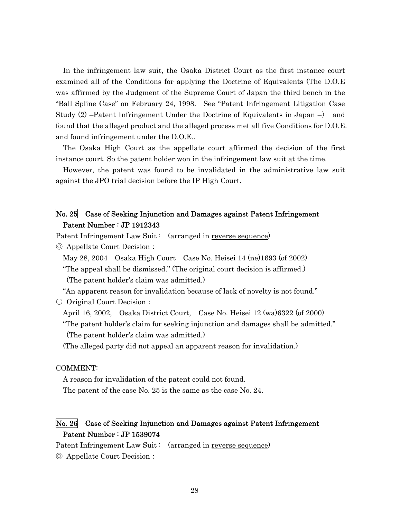In the infringement law suit, the Osaka District Court as the first instance court examined all of the Conditions for applying the Doctrine of Equivalents (The D.O.E was affirmed by the Judgment of the Supreme Court of Japan the third bench in the "Ball Spline Case" on February 24, 1998. See "Patent Infringement Litigation Case Study (2) –Patent Infringement Under the Doctrine of Equivalents in Japan –) and found that the alleged product and the alleged process met all five Conditions for D.O.E. and found infringement under the D.O.E..

The Osaka High Court as the appellate court affirmed the decision of the first instance court. So the patent holder won in the infringement law suit at the time.

However, the patent was found to be invalidated in the administrative law suit against the JPO trial decision before the IP High Court.

## No. 25 Case of Seeking Injunction and Damages against Patent Infringement Patent Number : JP 1912343

Patent Infringement Law Suit : (arranged in reverse sequence)

◎ Appellate Court Decision:

May 28, 2004 Osaka High Court Case No. Heisei 14 (ne)1693 (of 2002)

 "The appeal shall be dismissed." (The original court decision is affirmed.) (The patent holder's claim was admitted.)

"An apparent reason for invalidation because of lack of novelty is not found."

○ Original Court Decision :

April 16, 2002, Osaka District Court, Case No. Heisei 12 (wa)6322 (of 2000)

 "The patent holder's claim for seeking injunction and damages shall be admitted." (The patent holder's claim was admitted.)

(The alleged party did not appeal an apparent reason for invalidation.)

#### COMMENT:

A reason for invalidation of the patent could not found. The patent of the case No. 25 is the same as the case No. 24.

## No. 26 Case of Seeking Injunction and Damages against Patent Infringement Patent Number : JP 1539074

Patent Infringement Law Suit : (arranged in reverse sequence)

◎ Appellate Court Decision: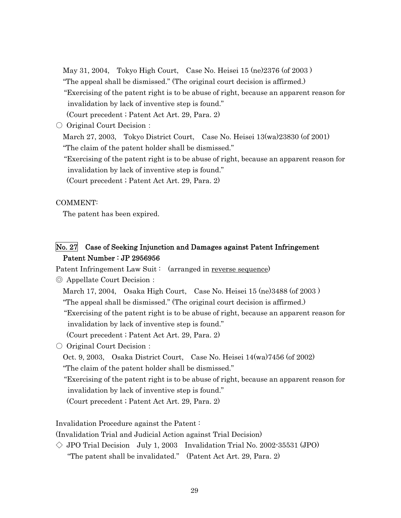May 31, 2004, Tokyo High Court, Case No. Heisei 15 (ne)2376 (of 2003 )

- "The appeal shall be dismissed." (The original court decision is affirmed.)
- "Exercising of the patent right is to be abuse of right, because an apparent reason for invalidation by lack of inventive step is found."
- (Court precedent ; Patent Act Art. 29, Para. 2)
- Original Court Decision:

March 27, 2003, Tokyo District Court, Case No. Heisei 13(wa)23830 (of 2001) "The claim of the patent holder shall be dismissed."

 "Exercising of the patent right is to be abuse of right, because an apparent reason for invalidation by lack of inventive step is found."

(Court precedent ; Patent Act Art. 29, Para. 2)

#### COMMENT:

The patent has been expired.

## No. 27 Case of Seeking Injunction and Damages against Patent Infringement Patent Number : JP 2956956

Patent Infringement Law Suit: (arranged in reverse sequence)

◎ Appellate Court Decision:

- March 17, 2004, Osaka High Court, Case No. Heisei 15 (ne)3488 (of 2003 )
- "The appeal shall be dismissed." (The original court decision is affirmed.)

 "Exercising of the patent right is to be abuse of right, because an apparent reason for invalidation by lack of inventive step is found."

- (Court precedent ; Patent Act Art. 29, Para. 2)
- Original Court Decision:

Oct. 9, 2003, Osaka District Court, Case No. Heisei 14(wa)7456 (of 2002)

- "The claim of the patent holder shall be dismissed."
- "Exercising of the patent right is to be abuse of right, because an apparent reason for invalidation by lack of inventive step is found."

(Court precedent ; Patent Act Art. 29, Para. 2)

Invalidation Procedure against the Patent :

(Invalidation Trial and Judicial Action against Trial Decision)

 $\Diamond$  JPO Trial Decision July 1, 2003 Invalidation Trial No. 2002-35531 (JPO) "The patent shall be invalidated." (Patent Act Art. 29, Para. 2)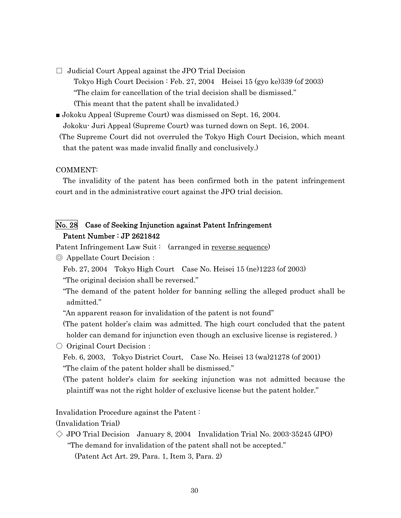$\Box$  Judicial Court Appeal against the JPO Trial Decision

 Tokyo High Court Decision : Feb. 27, 2004 Heisei 15 (gyo ke)339 (of 2003) "The claim for cancellation of the trial decision shall be dismissed." (This meant that the patent shall be invalidated.)

■ Jokoku Appeal (Supreme Court) was dismissed on Sept. 16, 2004.

Jokoku- Juri Appeal (Supreme Court) was turned down on Sept. 16, 2004.

(The Supreme Court did not overruled the Tokyo High Court Decision, which meant that the patent was made invalid finally and conclusively.)

#### COMMENT:

The invalidity of the patent has been confirmed both in the patent infringement court and in the administrative court against the JPO trial decision.

## No. 28 Case of Seeking Injunction against Patent Infringement Patent Number : JP 2621842

Patent Infringement Law Suit: (arranged in reverse sequence)

- ◎ Appellate Court Decision:
	- Feb. 27, 2004 Tokyo High Court Case No. Heisei 15 (ne)1223 (of 2003)
	- "The original decision shall be reversed."
	- "The demand of the patent holder for banning selling the alleged product shall be admitted."
	- "An apparent reason for invalidation of the patent is not found"

(The patent holder's claim was admitted. The high court concluded that the patent holder can demand for injunction even though an exclusive license is registered.)

○ Original Court Decision:

Feb. 6, 2003, Tokyo District Court, Case No. Heisei 13 (wa)21278 (of 2001) "The claim of the patent holder shall be dismissed."

 (The patent holder's claim for seeking injunction was not admitted because the plaintiff was not the right holder of exclusive license but the patent holder."

Invalidation Procedure against the Patent :

(Invalidation Trial)

 $\Diamond$  JPO Trial Decision January 8, 2004 Invalidation Trial No. 2003-35245 (JPO) "The demand for invalidation of the patent shall not be accepted."

(Patent Act Art. 29, Para. 1, Item 3, Para. 2)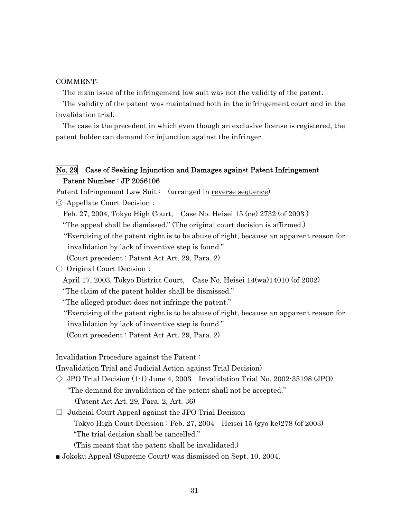#### COMMENT:

The main issue of the infringement law suit was not the validity of the patent.

The validity of the patent was maintained both in the infringement court and in the invalidation trial.

The case is the precedent in which even though an exclusive license is registered, the patent holder can demand for injunction against the infringer.

## No. 29 Case of Seeking Injunction and Damages against Patent Infringement Patent Number : JP 2056106

Patent Infringement Law Suit: (arranged in reverse sequence)

◎ Appellate Court Decision:

Feb. 27, 2004, Tokyo High Court, Case No. Heisei 15 (ne) 2732 (of 2003 )

"The appeal shall be dismissed." (The original court decision is affirmed.)

"Exercising of the patent right is to be abuse of right, because an apparent reason for

invalidation by lack of inventive step is found."

(Court precedent ; Patent Act Art. 29, Para. 2)

#### ○ Original Court Decision:

April 17, 2003, Tokyo District Court, Case No. Heisei 14(wa)14010 (of 2002)

"The claim of the patent holder shall be dismissed."

"The alleged product does not infringe the patent."

 "Exercising of the patent right is to be abuse of right, because an apparent reason for invalidation by lack of inventive step is found."

(Court precedent ; Patent Act Art. 29, Para. 2)

Invalidation Procedure against the Patent :

(Invalidation Trial and Judicial Action against Trial Decision)

 $\Diamond$  JPO Trial Decision (1-1) June 4, 2003 Invalidation Trial No. 2002-35198 (JPO) "The demand for invalidation of the patent shall not be accepted." (Patent Act Art. 29, Para. 2, Art. 36)

 $\Box$  Judicial Court Appeal against the JPO Trial Decision Tokyo High Court Decision : Feb. 27, 2004 Heisei 15 (gyo ke)278 (of 2003) "The trial decision shall be cancelled."

(This meant that the patent shall be invalidated.)

■ Jokoku Appeal (Supreme Court) was dismissed on Sept. 10, 2004.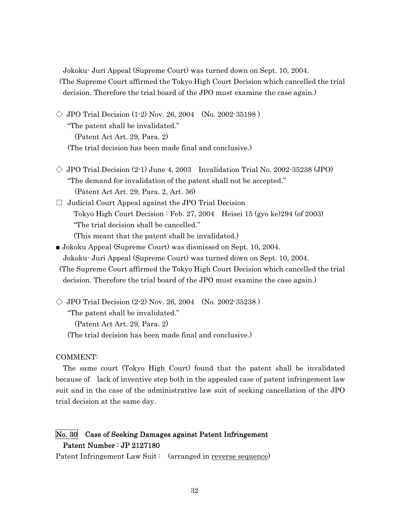Jokoku- Juri Appeal (Supreme Court) was turned down on Sept. 10, 2004. (The Supreme Court affirmed the Tokyo High Court Decision which cancelled the trial decision. Therefore the trial board of the JPO must examine the case again.)

- $\Diamond$  JPO Trial Decision (1-2) Nov. 26, 2004 (No. 2002-35198) "The patent shall be invalidated." (Patent Act Art. 29, Para. 2) (The trial decision has been made final and conclusive.)
- $\Diamond$  JPO Trial Decision (2-1) June 4, 2003 Invalidation Trial No. 2002-35238 (JPO) "The demand for invalidation of the patent shall not be accepted." (Patent Act Art. 29, Para. 2, Art. 36)
- $\Box$  Judicial Court Appeal against the JPO Trial Decision Tokyo High Court Decision : Feb. 27, 2004 Heisei 15 (gyo ke)294 (of 2003) "The trial decision shall be cancelled." (This meant that the patent shall be invalidated.)
- Jokoku Appeal (Supreme Court) was dismissed on Sept. 10, 2004. Jokoku- Juri Appeal (Supreme Court) was turned down on Sept. 10, 2004. (The Supreme Court affirmed the Tokyo High Court Decision which cancelled the trial decision. Therefore the trial board of the JPO must examine the case again.)
- $\Diamond$  JPO Trial Decision (2-2) Nov. 26, 2004 (No. 2002-35238) "The patent shall be invalidated." (Patent Act Art. 29, Para. 2) (The trial decision has been made final and conclusive.)

#### COMMENT:

The same court (Tokyo High Court) found that the patent shall be invalidated because of lack of inventive step both in the appealed case of patent infringement law suit and in the case of the administrative law suit of seeking cancellation of the JPO trial decision at the same day.

## No. 30 Case of Seeking Damages against Patent Infringement Patent Number : JP 2127180

Patent Infringement Law Suit: (arranged in reverse sequence)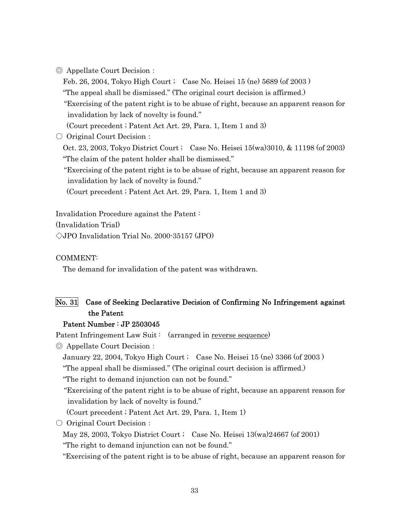| ◎ Appellate Court Decision : |  |  |
|------------------------------|--|--|
|------------------------------|--|--|

Feb. 26, 2004, Tokyo High Court ; Case No. Heisei 15 (ne) 5689 (of 2003 )

"The appeal shall be dismissed." (The original court decision is affirmed.)

 "Exercising of the patent right is to be abuse of right, because an apparent reason for invalidation by lack of novelty is found."

(Court precedent ; Patent Act Art. 29, Para. 1, Item 1 and 3)

○ Original Court Decision :

Oct. 23, 2003, Tokyo District Court ; Case No. Heisei 15(wa)3010, & 11198 (of 2003) "The claim of the patent holder shall be dismissed."

"Exercising of the patent right is to be abuse of right, because an apparent reason for invalidation by lack of novelty is found."

(Court precedent ; Patent Act Art. 29, Para. 1, Item 1 and 3)

Invalidation Procedure against the Patent :

(Invalidation Trial)

◇JPO Invalidation Trial No. 2000-35157 (JPO)

COMMENT:

The demand for invalidation of the patent was withdrawn.

## No. 31 Case of Seeking Declarative Decision of Confirming No Infringement against the Patent

#### Patent Number : JP 2503045

Patent Infringement Law Suit: (arranged in reverse sequence)

◎ Appellate Court Decision:

January 22, 2004, Tokyo High Court ; Case No. Heisei 15 (ne) 3366 (of 2003 )

"The appeal shall be dismissed." (The original court decision is affirmed.)

"The right to demand injunction can not be found."

 "Exercising of the patent right is to be abuse of right, because an apparent reason for invalidation by lack of novelty is found."

(Court precedent ; Patent Act Art. 29, Para. 1, Item 1)

○ Original Court Decision:

May 28, 2003, Tokyo District Court ; Case No. Heisei  $13(wa)24667$  (of 2001)

"The right to demand injunction can not be found."

"Exercising of the patent right is to be abuse of right, because an apparent reason for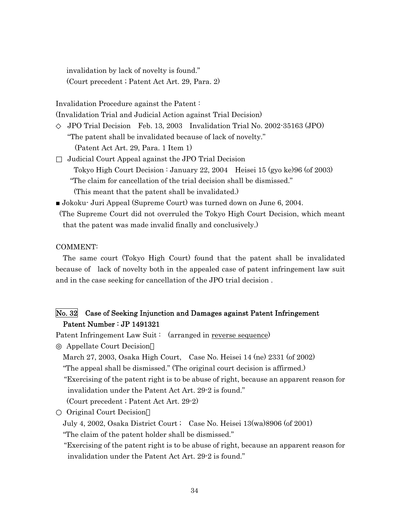invalidation by lack of novelty is found." (Court precedent ; Patent Act Art. 29, Para. 2)

Invalidation Procedure against the Patent :

(Invalidation Trial and Judicial Action against Trial Decision)

◇ JPO Trial Decision Feb. 13, 2003 Invalidation Trial No. 2002-35163 (JPO)

"The patent shall be invalidated because of lack of novelty."

(Patent Act Art. 29, Para. 1 Item 1)

□ Judicial Court Appeal against the JPO Trial Decision

Tokyo High Court Decision : January 22, 2004 Heisei 15 (gyo ke)96 (of 2003)

"The claim for cancellation of the trial decision shall be dismissed."

(This meant that the patent shall be invalidated.)

■ Jokoku- Juri Appeal (Supreme Court) was turned down on June 6, 2004.

(The Supreme Court did not overruled the Tokyo High Court Decision, which meant that the patent was made invalid finally and conclusively.)

#### COMMENT:

The same court (Tokyo High Court) found that the patent shall be invalidated because of lack of novelty both in the appealed case of patent infringement law suit and in the case seeking for cancellation of the JPO trial decision .

## No. 32 Case of Seeking Injunction and Damages against Patent Infringement Patent Number : JP 1491321

Patent Infringement Law Suit: (arranged in reverse sequence)

Appellate Court Decision

March 27, 2003, Osaka High Court, Case No. Heisei 14 (ne) 2331 (of 2002)

"The appeal shall be dismissed." (The original court decision is affirmed.)

 "Exercising of the patent right is to be abuse of right, because an apparent reason for invalidation under the Patent Act Art. 29-2 is found."

(Court precedent ; Patent Act Art. 29-2)

Original Court Decision

July 4, 2002, Osaka District Court ; Case No. Heisei 13(wa)8906 (of 2001)

"The claim of the patent holder shall be dismissed."

"Exercising of the patent right is to be abuse of right, because an apparent reason for invalidation under the Patent Act Art. 29-2 is found."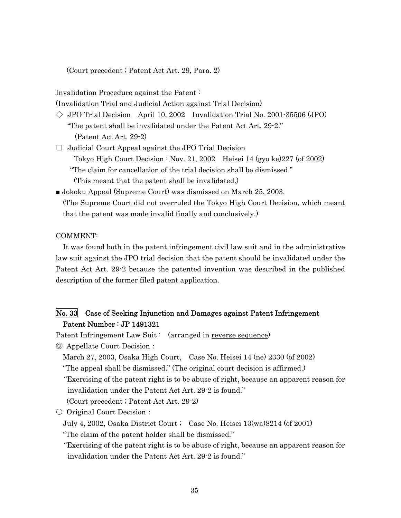(Court precedent ; Patent Act Art. 29, Para. 2)

Invalidation Procedure against the Patent :

(Invalidation Trial and Judicial Action against Trial Decision)

- $\Diamond$  JPO Trial Decision April 10, 2002 Invalidation Trial No. 2001-35506 (JPO) "The patent shall be invalidated under the Patent Act Art. 29-2." (Patent Act Art. 29-2)
- $\Box$  Judicial Court Appeal against the JPO Trial Decision Tokyo High Court Decision : Nov. 21, 2002 Heisei 14 (gyo ke)  $227$  (of  $2002$ ) "The claim for cancellation of the trial decision shall be dismissed." (This meant that the patent shall be invalidated.)
- Jokoku Appeal (Supreme Court) was dismissed on March 25, 2003. (The Supreme Court did not overruled the Tokyo High Court Decision, which meant that the patent was made invalid finally and conclusively.)

#### COMMENT:

It was found both in the patent infringement civil law suit and in the administrative law suit against the JPO trial decision that the patent should be invalidated under the Patent Act Art. 29-2 because the patented invention was described in the published description of the former filed patent application.

## No. 33 Case of Seeking Injunction and Damages against Patent Infringement Patent Number : JP 1491321

Patent Infringement Law Suit: (arranged in reverse sequence)

◎ Appellate Court Decision:

March 27, 2003, Osaka High Court, Case No. Heisei 14 (ne) 2330 (of 2002)

"The appeal shall be dismissed." (The original court decision is affirmed.)

 "Exercising of the patent right is to be abuse of right, because an apparent reason for invalidation under the Patent Act Art. 29-2 is found."

(Court precedent ; Patent Act Art. 29-2)

○ Original Court Decision:

July 4, 2002, Osaka District Court ; Case No. Heisei 13(wa)8214 (of 2001)

"The claim of the patent holder shall be dismissed."

"Exercising of the patent right is to be abuse of right, because an apparent reason for invalidation under the Patent Act Art. 29-2 is found."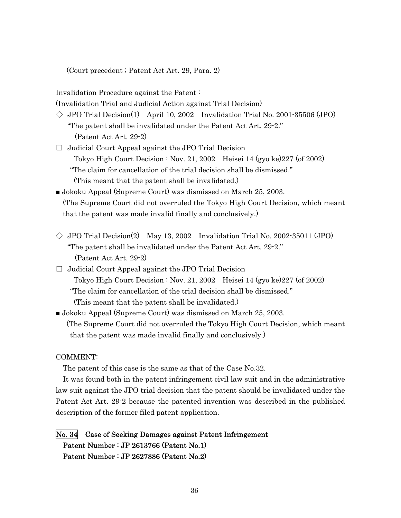(Court precedent ; Patent Act Art. 29, Para. 2)

Invalidation Procedure against the Patent :

(Invalidation Trial and Judicial Action against Trial Decision)

- $\Diamond$  JPO Trial Decision(1) April 10, 2002 Invalidation Trial No. 2001-35506 (JPO) "The patent shall be invalidated under the Patent Act Art. 29-2." (Patent Act Art. 29-2)
- $\Box$  Judicial Court Appeal against the JPO Trial Decision Tokyo High Court Decision : Nov. 21, 2002 Heisei 14 (gyo ke)  $227$  (of  $2002$ ) "The claim for cancellation of the trial decision shall be dismissed." (This meant that the patent shall be invalidated.)
- Jokoku Appeal (Supreme Court) was dismissed on March 25, 2003. (The Supreme Court did not overruled the Tokyo High Court Decision, which meant that the patent was made invalid finally and conclusively.)
- $\Diamond$  JPO Trial Decision(2) May 13, 2002 Invalidation Trial No. 2002-35011 (JPO) "The patent shall be invalidated under the Patent Act Art. 29-2." (Patent Act Art. 29-2)
- $\Box$  Judicial Court Appeal against the JPO Trial Decision Tokyo High Court Decision : Nov. 21, 2002 Heisei 14 (gyo ke)227 (of 2002) "The claim for cancellation of the trial decision shall be dismissed." (This meant that the patent shall be invalidated.)
- Jokoku Appeal (Supreme Court) was dismissed on March 25, 2003. (The Supreme Court did not overruled the Tokyo High Court Decision, which meant that the patent was made invalid finally and conclusively.)

#### COMMENT:

The patent of this case is the same as that of the Case No.32.

It was found both in the patent infringement civil law suit and in the administrative law suit against the JPO trial decision that the patent should be invalidated under the Patent Act Art. 29-2 because the patented invention was described in the published description of the former filed patent application.

## No. 34 Case of Seeking Damages against Patent Infringement Patent Number : JP 2613766 (Patent No.1) Patent Number : JP 2627886 (Patent No.2)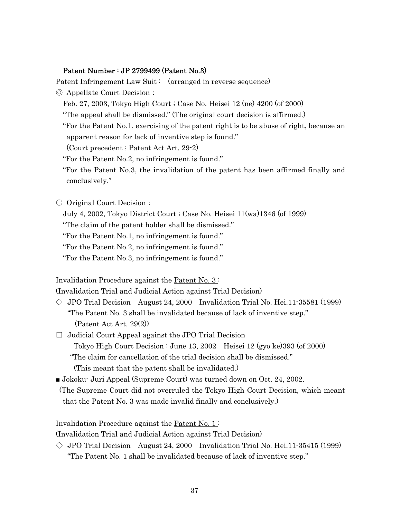#### Patent Number : JP 2799499 (Patent No.3)

Patent Infringement Law Suit: (arranged in reverse sequence)

- ◎ Appellate Court Decision:
	- Feb. 27, 2003, Tokyo High Court ; Case No. Heisei 12 (ne) 4200 (of 2000)
	- "The appeal shall be dismissed." (The original court decision is affirmed.)
	- "For the Patent No.1, exercising of the patent right is to be abuse of right, because an apparent reason for lack of inventive step is found."

(Court precedent ; Patent Act Art. 29-2)

- "For the Patent No.2, no infringement is found."
- "For the Patent No.3, the invalidation of the patent has been affirmed finally and conclusively."
- Original Court Decision:
	- July 4, 2002, Tokyo District Court ; Case No. Heisei 11(wa)1346 (of 1999)

"The claim of the patent holder shall be dismissed."

"For the Patent No.1, no infringement is found."

- "For the Patent No.2, no infringement is found."
- "For the Patent No.3, no infringement is found."

Invalidation Procedure against the Patent No. 3:

(Invalidation Trial and Judicial Action against Trial Decision)

- $\Diamond$  JPO Trial Decision August 24, 2000 Invalidation Trial No. Hei.11-35581 (1999) "The Patent No. 3 shall be invalidated because of lack of inventive step." (Patent Act Art. 29(2))
- $\Box$  Judicial Court Appeal against the JPO Trial Decision Tokyo High Court Decision : June 13, 2002 Heisei 12 (gyo ke)393 (of 2000) "The claim for cancellation of the trial decision shall be dismissed." (This meant that the patent shall be invalidated.)
- Jokoku· Juri Appeal (Supreme Court) was turned down on Oct. 24, 2002.
- (The Supreme Court did not overruled the Tokyo High Court Decision, which meant that the Patent No. 3 was made invalid finally and conclusively.)

Invalidation Procedure against the <u>Patent No. 1</u>:

(Invalidation Trial and Judicial Action against Trial Decision)

 $\Diamond$  JPO Trial Decision August 24, 2000 Invalidation Trial No. Hei.11-35415 (1999) "The Patent No. 1 shall be invalidated because of lack of inventive step."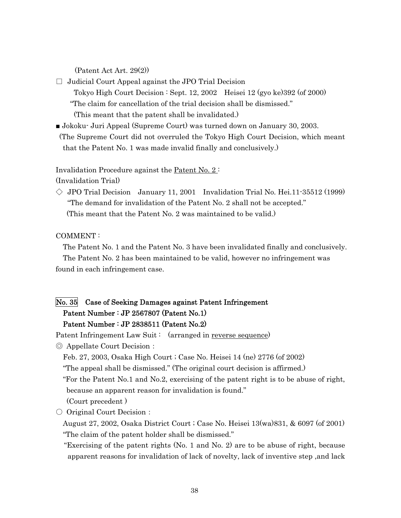(Patent Act Art. 29(2))

- $\Box$  Judicial Court Appeal against the JPO Trial Decision Tokyo High Court Decision : Sept. 12, 2002 Heisei 12 (gyo ke)392 (of 2000) "The claim for cancellation of the trial decision shall be dismissed." (This meant that the patent shall be invalidated.)
- Jokoku- Juri Appeal (Supreme Court) was turned down on January 30, 2003.
- (The Supreme Court did not overruled the Tokyo High Court Decision, which meant that the Patent No. 1 was made invalid finally and conclusively.)

Invalidation Procedure against the Patent No. 2 :

(Invalidation Trial)

 $\Diamond$  JPO Trial Decision January 11, 2001 Invalidation Trial No. Hei.11-35512 (1999) "The demand for invalidation of the Patent No. 2 shall not be accepted." (This meant that the Patent No. 2 was maintained to be valid.)

#### COMMENT :

The Patent No. 1 and the Patent No. 3 have been invalidated finally and conclusively.

The Patent No. 2 has been maintained to be valid, however no infringement was found in each infringement case.

## No. 35 Case of Seeking Damages against Patent Infringement Patent Number : JP 2567807 (Patent No.1) Patent Number : JP 2838511 (Patent No.2)

Patent Infringement Law Suit: (arranged in reverse sequence)

◎ Appellate Court Decision:

Feb. 27, 2003, Osaka High Court ; Case No. Heisei 14 (ne) 2776 (of 2002)

"The appeal shall be dismissed." (The original court decision is affirmed.)

 "For the Patent No.1 and No.2, exercising of the patent right is to be abuse of right, because an apparent reason for invalidation is found."

(Court precedent )

○ Original Court Decision:

August 27, 2002, Osaka District Court ; Case No. Heisei 13(wa)831, & 6097 (of 2001) "The claim of the patent holder shall be dismissed."

"Exercising of the patent rights (No. 1 and No. 2) are to be abuse of right, because apparent reasons for invalidation of lack of novelty, lack of inventive step ,and lack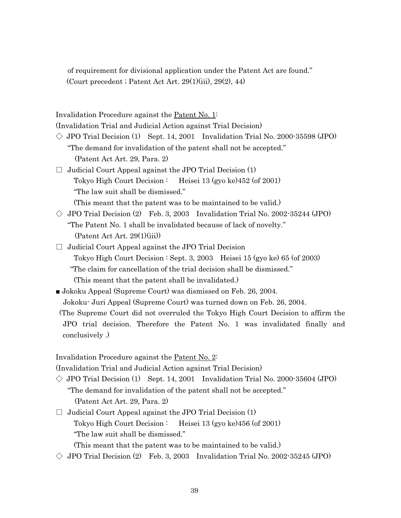of requirement for divisional application under the Patent Act are found." (Court precedent ; Patent Act Art. 29(1)(iii), 29(2), 44)

Invalidation Procedure against the Patent No. 1:

(Invalidation Trial and Judicial Action against Trial Decision)

- $\Diamond$  JPO Trial Decision (1) Sept. 14, 2001 Invalidation Trial No. 2000-35598 (JPO) "The demand for invalidation of the patent shall not be accepted." (Patent Act Art. 29, Para. 2)
- $\Box$  Judicial Court Appeal against the JPO Trial Decision (1) Tokyo High Court Decision : Heisei 13 (gyo ke)452 (of 2001) "The law suit shall be dismissed."

(This meant that the patent was to be maintained to be valid.)

- $\Diamond$  JPO Trial Decision (2) Feb. 3, 2003 Invalidation Trial No. 2002-35244 (JPO) "The Patent No. 1 shall be invalidated because of lack of novelty." (Patent Act Art. 29(1)(iii))
- $\Box$  Judicial Court Appeal against the JPO Trial Decision Tokyo High Court Decision : Sept. 3, 2003 Heisei 15 (gyo ke) 65 (of 2003) "The claim for cancellation of the trial decision shall be dismissed." (This meant that the patent shall be invalidated.)
- Jokoku Appeal (Supreme Court) was dismissed on Feb. 26, 2004.

Jokoku- Juri Appeal (Supreme Court) was turned down on Feb. 26, 2004.

(The Supreme Court did not overruled the Tokyo High Court Decision to affirm the JPO trial decision. Therefore the Patent No. 1 was invalidated finally and conclusively .)

Invalidation Procedure against the Patent No. 2:

(Invalidation Trial and Judicial Action against Trial Decision)

- $\Diamond$  JPO Trial Decision (1) Sept. 14, 2001 Invalidation Trial No. 2000-35604 (JPO) "The demand for invalidation of the patent shall not be accepted." (Patent Act Art. 29, Para. 2)
- $\Box$  Judicial Court Appeal against the JPO Trial Decision (1) Tokyo High Court Decision : Heisei 13 (gyo ke)456 (of 2001) "The law suit shall be dismissed."
	- (This meant that the patent was to be maintained to be valid.)
- $\Diamond$  JPO Trial Decision (2) Feb. 3, 2003 Invalidation Trial No. 2002-35245 (JPO)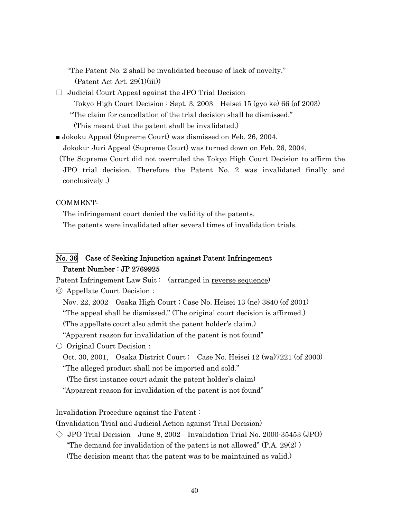"The Patent No. 2 shall be invalidated because of lack of novelty."

(Patent Act Art. 29(1)(iii))

 $\Box$  Judicial Court Appeal against the JPO Trial Decision

 Tokyo High Court Decision : Sept. 3, 2003 Heisei 15 (gyo ke) 66 (of 2003) "The claim for cancellation of the trial decision shall be dismissed."

(This meant that the patent shall be invalidated.)

■ Jokoku Appeal (Supreme Court) was dismissed on Feb. 26, 2004.

Jokoku- Juri Appeal (Supreme Court) was turned down on Feb. 26, 2004.

(The Supreme Court did not overruled the Tokyo High Court Decision to affirm the JPO trial decision. Therefore the Patent No. 2 was invalidated finally and conclusively .)

COMMENT:

The infringement court denied the validity of the patents. The patents were invalidated after several times of invalidation trials.

## No. 36 Case of Seeking Injunction against Patent Infringement Patent Number : JP 2769925

Patent Infringement Law Suit: (arranged in reverse sequence)

◎ Appellate Court Decision:

Nov. 22, 2002 Osaka High Court ; Case No. Heisei 13 (ne) 3840 (of 2001)

"The appeal shall be dismissed." (The original court decision is affirmed.)

(The appellate court also admit the patent holder's claim.)

"Apparent reason for invalidation of the patent is not found"

○ Original Court Decision:

Oct. 30, 2001, Osaka District Court ; Case No. Heisei 12 (wa)7221 (of 2000) "The alleged product shall not be imported and sold."

(The first instance court admit the patent holder's claim)

"Apparent reason for invalidation of the patent is not found"

Invalidation Procedure against the Patent :

(Invalidation Trial and Judicial Action against Trial Decision)

 $\Diamond$  JPO Trial Decision June 8, 2002 Invalidation Trial No. 2000-35453 (JPO) "The demand for invalidation of the patent is not allowed"  $(P.A. 29(2))$ (The decision meant that the patent was to be maintained as valid.)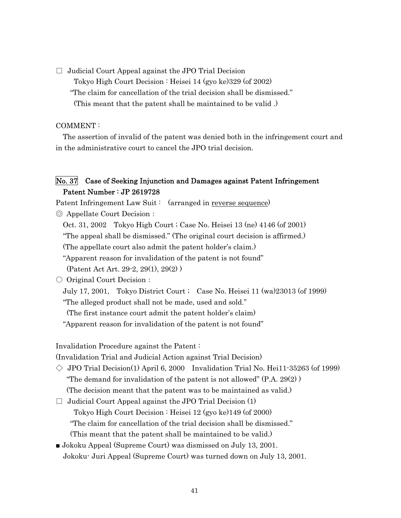$\Box$  Judicial Court Appeal against the JPO Trial Decision Tokyo High Court Decision : Heisei 14 (gyo ke)329 (of 2002) "The claim for cancellation of the trial decision shall be dismissed." (This meant that the patent shall be maintained to be valid .)

#### COMMENT :

The assertion of invalid of the patent was denied both in the infringement court and in the administrative court to cancel the JPO trial decision.

## No. 37 Case of Seeking Injunction and Damages against Patent Infringement Patent Number : JP 2619728

Patent Infringement Law Suit : (arranged in reverse sequence)

◎ Appellate Court Decision:

Oct. 31, 2002 Tokyo High Court ; Case No. Heisei 13 (ne) 4146 (of 2001)

"The appeal shall be dismissed." (The original court decision is affirmed.)

(The appellate court also admit the patent holder's claim.)

"Apparent reason for invalidation of the patent is not found"

(Patent Act Art. 29-2, 29(1), 29(2) )

○ Original Court Decision:

July 17, 2001, Tokyo District Court ; Case No. Heisei 11 (wa)23013 (of 1999)

"The alleged product shall not be made, used and sold."

(The first instance court admit the patent holder's claim)

"Apparent reason for invalidation of the patent is not found"

Invalidation Procedure against the Patent :

(Invalidation Trial and Judicial Action against Trial Decision)

- $\Diamond$  JPO Trial Decision(1) April 6, 2000 Invalidation Trial No. Hei11-35263 (of 1999) "The demand for invalidation of the patent is not allowed"  $(P.A. 29(2))$ (The decision meant that the patent was to be maintained as valid.)
- $\Box$  Judicial Court Appeal against the JPO Trial Decision (1) Tokyo High Court Decision : Heisei 12 (gyo ke)149 (of 2000) "The claim for cancellation of the trial decision shall be dismissed." (This meant that the patent shall be maintained to be valid.)
- Jokoku Appeal (Supreme Court) was dismissed on July 13, 2001. Jokoku- Juri Appeal (Supreme Court) was turned down on July 13, 2001.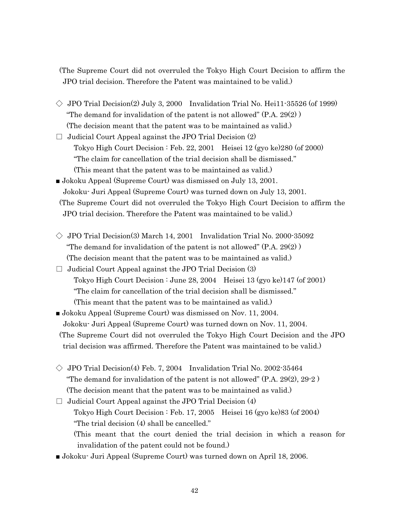(The Supreme Court did not overruled the Tokyo High Court Decision to affirm the JPO trial decision. Therefore the Patent was maintained to be valid.)

- $\Diamond$  JPO Trial Decision(2) July 3, 2000 Invalidation Trial No. Hei11-35526 (of 1999) "The demand for invalidation of the patent is not allowed" (P.A. 29(2) ) (The decision meant that the patent was to be maintained as valid.)
- $\Box$  Judicial Court Appeal against the JPO Trial Decision  $(2)$  Tokyo High Court Decision : Feb. 22, 2001 Heisei 12 (gyo ke)280 (of 2000) "The claim for cancellation of the trial decision shall be dismissed." (This meant that the patent was to be maintained as valid.)
- Jokoku Appeal (Supreme Court) was dismissed on July 13, 2001. Jokoku- Juri Appeal (Supreme Court) was turned down on July 13, 2001. (The Supreme Court did not overruled the Tokyo High Court Decision to affirm the JPO trial decision. Therefore the Patent was maintained to be valid.)
- $\Diamond$  JPO Trial Decision(3) March 14, 2001 Invalidation Trial No. 2000-35092 "The demand for invalidation of the patent is not allowed" (P.A. 29(2) ) (The decision meant that the patent was to be maintained as valid.)
- $\Box$  Judicial Court Appeal against the JPO Trial Decision (3) Tokyo High Court Decision : June 28, 2004 Heisei 13 (gyo ke)147 (of 2001) "The claim for cancellation of the trial decision shall be dismissed." (This meant that the patent was to be maintained as valid.)
- Jokoku Appeal (Supreme Court) was dismissed on Nov. 11, 2004. Jokoku- Juri Appeal (Supreme Court) was turned down on Nov. 11, 2004. (The Supreme Court did not overruled the Tokyo High Court Decision and the JPO trial decision was affirmed. Therefore the Patent was maintained to be valid.)
- $\Diamond$  JPO Trial Decision(4) Feb. 7, 2004 Invalidation Trial No. 2002-35464 "The demand for invalidation of the patent is not allowed"  $(P.A. 29(2), 29-2)$ (The decision meant that the patent was to be maintained as valid.)
- $\Box$  Judicial Court Appeal against the JPO Trial Decision (4) Tokyo High Court Decision : Feb. 17, 2005 Heisei 16 (gyo ke)83 (of 2004) "The trial decision (4) shall be cancelled." (This meant that the court denied the trial decision in which a reason for invalidation of the patent could not be found.)
- Jokoku- Juri Appeal (Supreme Court) was turned down on April 18, 2006.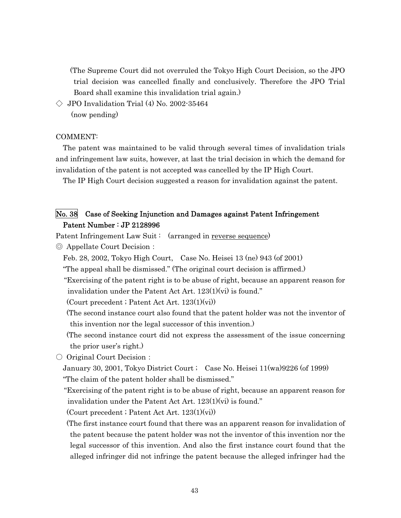(The Supreme Court did not overruled the Tokyo High Court Decision, so the JPO trial decision was cancelled finally and conclusively. Therefore the JPO Trial Board shall examine this invalidation trial again.)

 $\Diamond$  JPO Invalidation Trial (4) No. 2002-35464 (now pending)

#### COMMENT:

The patent was maintained to be valid through several times of invalidation trials and infringement law suits, however, at last the trial decision in which the demand for invalidation of the patent is not accepted was cancelled by the IP High Court.

The IP High Court decision suggested a reason for invalidation against the patent.

## No. 38 Case of Seeking Injunction and Damages against Patent Infringement Patent Number : JP 2128996

- Patent Infringement Law Suit : (arranged in reverse sequence)
- ◎ Appellate Court Decision:
	- Feb. 28, 2002, Tokyo High Court, Case No. Heisei 13 (ne) 943 (of 2001)
	- "The appeal shall be dismissed." (The original court decision is affirmed.)
	- "Exercising of the patent right is to be abuse of right, because an apparent reason for invalidation under the Patent Act Art. 123(1)(vi) is found."

(Court precedent ; Patent Act Art. 123(1)(vi))

 (The second instance court also found that the patent holder was not the inventor of this invention nor the legal successor of this invention.)

 (The second instance court did not express the assessment of the issue concerning the prior user's right.)

○ Original Court Decision:

January 30, 2001, Tokyo District Court ; Case No. Heisei 11(wa)9226 (of 1999) "The claim of the patent holder shall be dismissed."

"Exercising of the patent right is to be abuse of right, because an apparent reason for invalidation under the Patent Act Art. 123(1)(vi) is found."

(Court precedent ; Patent Act Art. 123(1)(vi))

 (The first instance court found that there was an apparent reason for invalidation of the patent because the patent holder was not the inventor of this invention nor the legal successor of this invention. And also the first instance court found that the alleged infringer did not infringe the patent because the alleged infringer had the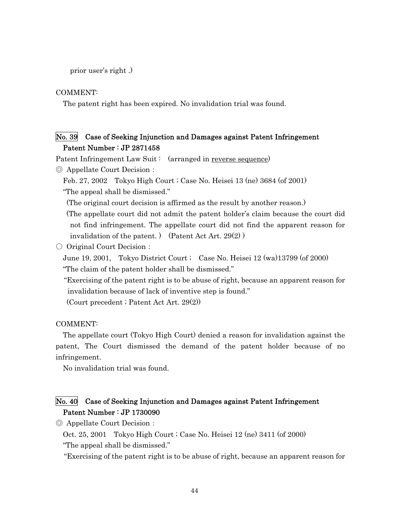prior user's right .)

COMMENT:

The patent right has been expired. No invalidation trial was found.

## No. 39 Case of Seeking Injunction and Damages against Patent Infringement Patent Number : JP 2871458

Patent Infringement Law Suit: (arranged in reverse sequence)

◎ Appellate Court Decision:

Feb. 27, 2002 Tokyo High Court ; Case No. Heisei 13 (ne) 3684 (of 2001) "The appeal shall be dismissed."

(The original court decision is affirmed as the result by another reason.)

(The appellate court did not admit the patent holder's claim because the court did not find infringement. The appellate court did not find the apparent reason for invalidation of the patent. ) (Patent Act Art. 29(2) )

○ Original Court Decision:

June 19, 2001, Tokyo District Court ; Case No. Heisei 12 (wa)13799 (of 2000) "The claim of the patent holder shall be dismissed."

"Exercising of the patent right is to be abuse of right, because an apparent reason for invalidation because of lack of inventive step is found."

(Court precedent ; Patent Act Art. 29(2))

COMMENT:

The appellate court (Tokyo High Court) denied a reason for invalidation against the patent, The Court dismissed the demand of the patent holder because of no infringement.

No invalidation trial was found.

## No. 40 Case of Seeking Injunction and Damages against Patent Infringement Patent Number : JP 1730090

◎ Appellate Court Decision:

Oct. 25, 2001 Tokyo High Court ; Case No. Heisei 12 (ne) 3411 (of 2000)

"The appeal shall be dismissed."

"Exercising of the patent right is to be abuse of right, because an apparent reason for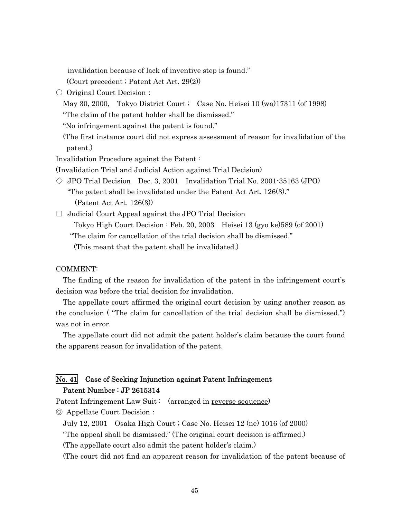invalidation because of lack of inventive step is found."

(Court precedent ; Patent Act Art. 29(2))

○ Original Court Decision:

May 30, 2000, Tokyo District Court ; Case No. Heisei 10 (wa)17311 (of 1998) "The claim of the patent holder shall be dismissed."

"No infringement against the patent is found."

 (The first instance court did not express assessment of reason for invalidation of the patent.)

Invalidation Procedure against the Patent :

(Invalidation Trial and Judicial Action against Trial Decision)

 $\Diamond$  JPO Trial Decision Dec. 3, 2001 Invalidation Trial No. 2001-35163 (JPO) "The patent shall be invalidated under the Patent Act Art. 126(3)." (Patent Act Art. 126(3))

 $\Box$  Judicial Court Appeal against the JPO Trial Decision

Tokyo High Court Decision : Feb. 20, 2003 Heisei 13 (gyo ke)589 (of 2001)

"The claim for cancellation of the trial decision shall be dismissed."

(This meant that the patent shall be invalidated.)

#### COMMENT:

The finding of the reason for invalidation of the patent in the infringement court's decision was before the trial decision for invalidation.

The appellate court affirmed the original court decision by using another reason as the conclusion ( "The claim for cancellation of the trial decision shall be dismissed.") was not in error.

The appellate court did not admit the patent holder's claim because the court found the apparent reason for invalidation of the patent.

## No. 41 Case of Seeking Injunction against Patent Infringement Patent Number : JP 2615314

Patent Infringement Law Suit: (arranged in reverse sequence) ◎ Appellate Court Decision:

July 12, 2001 Osaka High Court ; Case No. Heisei 12 (ne) 1016 (of 2000)

"The appeal shall be dismissed." (The original court decision is affirmed.)

(The appellate court also admit the patent holder's claim.)

(The court did not find an apparent reason for invalidation of the patent because of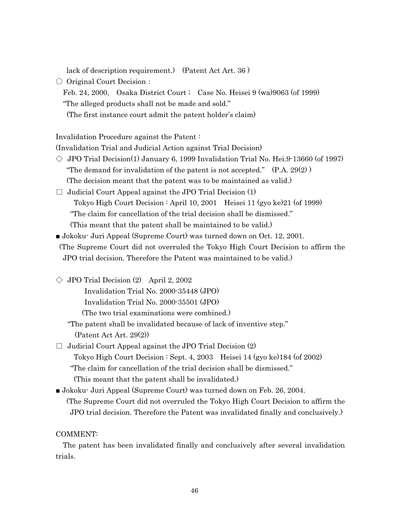lack of description requirement.) (Patent Act Art. 36 )

○ Original Court Decision:

Feb. 24, 2000, Osaka District Court ; Case No. Heisei 9 (wa)9063 (of 1999) "The alleged products shall not be made and sold." (The first instance court admit the patent holder's claim)

Invalidation Procedure against the Patent :

(Invalidation Trial and Judicial Action against Trial Decision)

- $\Diamond$  JPO Trial Decision(1) January 6, 1999 Invalidation Trial No. Hei.9-13660 (of 1997) "The demand for invalidation of the patent is not accepted."  $(P.A. 29(2))$ (The decision meant that the patent was to be maintained as valid.)
- $\Box$  Judicial Court Appeal against the JPO Trial Decision (1) Tokyo High Court Decision : April 10, 2001 Heisei 11 (gyo ke)21 (of 1999)

"The claim for cancellation of the trial decision shall be dismissed."

(This meant that the patent shall be maintained to be valid.)

■ Jokoku· Juri Appeal (Supreme Court) was turned down on Oct. 12, 2001.

(The Supreme Court did not overruled the Tokyo High Court Decision to affirm the JPO trial decision. Therefore the Patent was maintained to be valid.)

 $\Diamond$  JPO Trial Decision (2) April 2, 2002

Invalidation Trial No. 2000-35448 (JPO)

Invalidation Trial No. 2000-35501 (JPO)

(The two trial examinations were combined.)

"The patent shall be invalidated because of lack of inventive step."

(Patent Act Art. 29(2))

 $\Box$  Judicial Court Appeal against the JPO Trial Decision (2) Tokyo High Court Decision : Sept. 4, 2003 Heisei 14 (gyo ke)184 (of 2002) "The claim for cancellation of the trial decision shall be dismissed." (This meant that the patent shall be invalidated.)

■ Jokoku- Juri Appeal (Supreme Court) was turned down on Feb. 26, 2004. (The Supreme Court did not overruled the Tokyo High Court Decision to affirm the JPO trial decision. Therefore the Patent was invalidated finally and conclusively.)

COMMENT:

The patent has been invalidated finally and conclusively after several invalidation trials.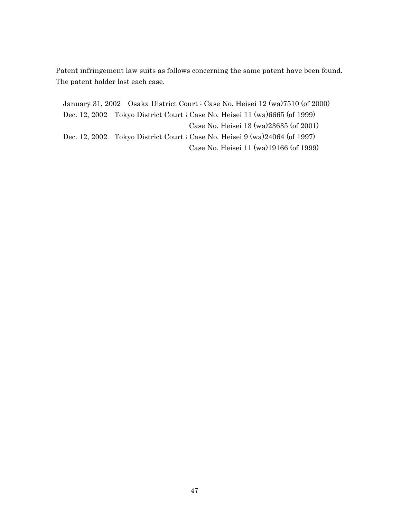Patent infringement law suits as follows concerning the same patent have been found. The patent holder lost each case.

January 31, 2002 Osaka District Court ; Case No. Heisei 12 (wa)7510 (of 2000) Dec. 12, 2002 Tokyo District Court ; Case No. Heisei 11 (wa)6665 (of 1999) Case No. Heisei 13 (wa)23635 (of 2001) Dec. 12, 2002 Tokyo District Court ; Case No. Heisei 9 (wa)24064 (of 1997) Case No. Heisei 11 (wa)19166 (of 1999)